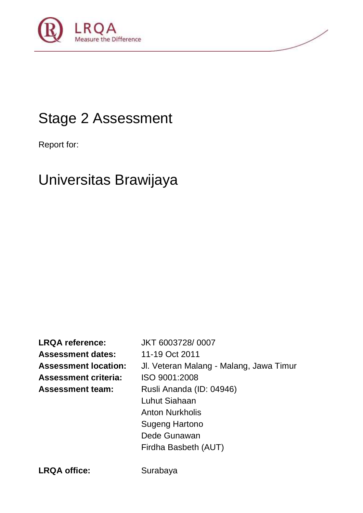

# Stage 2 Assessment

Report for:

# Universitas Brawijaya

**LRQA reference:** JKT 6003728/ 0007 **Assessment dates:** 11-19 Oct 2011 **Assessment location:** Jl. Veteran Malang - Malang, Jawa Timur **Assessment criteria:** ISO 9001:2008 **Assessment team:** Rusli Ananda (ID: 04946) Luhut Siahaan Anton Nurkholis Sugeng Hartono Dede Gunawan Firdha Basbeth (AUT)

LRQA office: Surabaya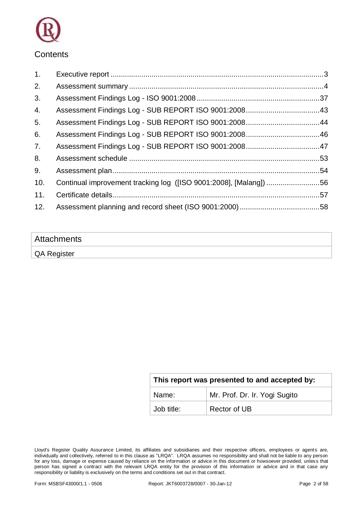

### **Contents**

| 1.  |                                                                   |  |
|-----|-------------------------------------------------------------------|--|
| 2.  |                                                                   |  |
| 3.  |                                                                   |  |
| 4.  |                                                                   |  |
| 5.  |                                                                   |  |
| 6.  |                                                                   |  |
| 7.  |                                                                   |  |
| 8.  |                                                                   |  |
| 9.  |                                                                   |  |
| 10. | Continual improvement tracking log ([ISO 9001:2008], [Malang]) 56 |  |
| 11. |                                                                   |  |
| 12. |                                                                   |  |

| Attachments |  |
|-------------|--|
| QA Register |  |

| This report was presented to and accepted by: |              |  |  |
|-----------------------------------------------|--------------|--|--|
| Mr. Prof. Dr. Ir. Yogi Sugito<br>Name:        |              |  |  |
| Job title:                                    | Rector of UB |  |  |

Lloyd's Register Quality Assurance Limited, its affiliates and subsidiaries and their respective officers, employees or agents are, individually and collectively, referred to in this clause as "LRQA". LRQA assumes no responsibility and shall not be liable to any person for any loss, damage or expense caused by reliance on the information or advice in this document or howsoever provided, unless that person has signed a contract with the relevant LRQA entity for the provision of this information or advice and in that case any responsibility or liability is exclusively on the terms and conditions set out in that contract.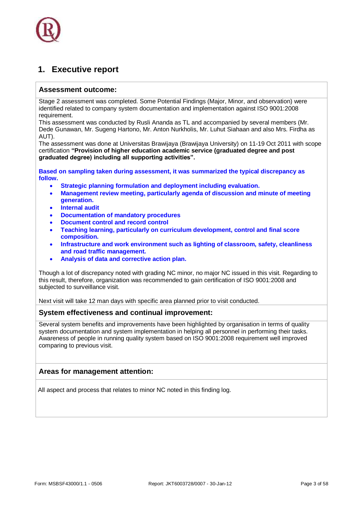### <span id="page-2-0"></span>**1. Executive report**

#### **Assessment outcome:**

Stage 2 assessment was completed. Some Potential Findings (Major, Minor, and observation) were identified related to company system documentation and implementation against ISO 9001:2008 requirement.

This assessment was conducted by Rusli Ananda as TL and accompanied by several members (Mr. Dede Gunawan, Mr. Sugeng Hartono, Mr. Anton Nurkholis, Mr. Luhut Siahaan and also Mrs. Firdha as AUT).

The assessment was done at Universitas Brawijaya (Brawijaya University) on 11-19 Oct 2011 with scope certification **"Provision of higher education academic service (graduated degree and post graduated degree) including all supporting activities".** 

**Based on sampling taken during assessment, it was summarized the typical discrepancy as follow.**

- **Strategic planning formulation and deployment including evaluation.**
- **Management review meeting, particularly agenda of discussion and minute of meeting generation.**
- **Internal audit**
- **Documentation of mandatory procedures**
- **Document control and record control**
- **Teaching learning, particularly on curriculum development, control and final score composition.**
- **Infrastructure and work environment such as lighting of classroom, safety, cleanliness and road traffic management.**
- **Analysis of data and corrective action plan.**

Though a lot of discrepancy noted with grading NC minor, no major NC issued in this visit. Regarding to this result, therefore, organization was recommended to gain certification of ISO 9001:2008 and subjected to surveillance visit.

Next visit will take 12 man days with specific area planned prior to visit conducted.

#### **System effectiveness and continual improvement:**

Several system benefits and improvements have been highlighted by organisation in terms of quality system documentation and system implementation in helping all personnel in performing their tasks. Awareness of people in running quality system based on ISO 9001:2008 requirement well improved comparing to previous visit.

#### **Areas for management attention:**

All aspect and process that relates to minor NC noted in this finding log.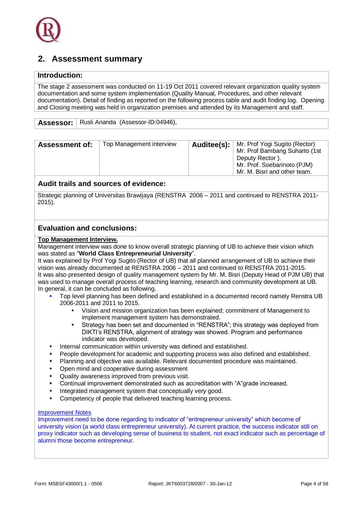### <span id="page-3-0"></span>**2. Assessment summary**

#### **Introduction:**

The stage 2 assessment was conducted on 11-19 Oct 2011 covered relevant organization quality system documentation and some system implementation (Quality Manual, Procedures, and other relevant documentation). Detail of finding as reported on the following process table and audit finding log. Opening and Closing meeting was held in organization premises and attended by its Management and staff.

Assessor: | Rusli Ananda (Assessor-ID:04946),

| Mr. M. Bisri and other team. | <b>Assessment of:</b> | Top Management interview |  | Auditee(s):   Mr. Prof Yogi Sugito (Rector)<br>Mr. Prof Bambang Suharto (1st<br>Deputy Rector).<br>Mr. Prof. Soebarinoto (PJM) |
|------------------------------|-----------------------|--------------------------|--|--------------------------------------------------------------------------------------------------------------------------------|
|------------------------------|-----------------------|--------------------------|--|--------------------------------------------------------------------------------------------------------------------------------|

#### **Audit trails and sources of evidence:**

Strategic planning of Universitas Brawijaya (RENSTRA 2006 – 2011 and continued to RENSTRA 2011- 2015).

#### **Evaluation and conclusions:**

#### **Top Management Interview.**

Management interview was done to know overall strategic planning of UB to achieve their vision which was stated as "**World Class Entrepreneurial University**".

It was explained by Prof Yogi Sugito (Rector of UB) that all planned arrangement of UB to achieve their vision was already documented at RENSTRA 2006 – 2011 and continued to RENSTRA 2011-2015. It was also presented design of quality management system by Mr. M. Bisri (Deputy Head of PJM UB) that was used to manage overall process of teaching learning, research and community development at UB. In general, it can be concluded as following.

- Top level planning has been defined and established in a documented record namely Renstra UB 2006-2011 and 2011 to 2015.
	- Vision and mission organization has been explained; commitment of Management to implement management system has demonstrated.
	- Strategy has been set and documented in "RENSTRA"; this strategy was deployed from DIKTI's RENSTRA, alignment of strategy was showed. Program and performance indicator was developed.
- Internal communication within university was defined and established.
- People development for academic and supporting process was also defined and established.
- Planning and objective was available. Relevant documented procedure was maintained.
- Open mind and cooperative during assessment
- Quality awareness improved from previous visit.
- Continual improvement demonstrated such as accreditation with "A"grade increased.
- Integrated management system that conceptually very good.
- Competency of people that delivered teaching learning process.

#### Improvement Notes

Improvement need to be done regarding to indicator of "entrepreneur university" which become of university vision (a world class entrepreneur university). At current practice, the success indicator still on proxy indicator such as developing sense of business to student, not exact indicator such as percentage of alumni those become entrepreneur.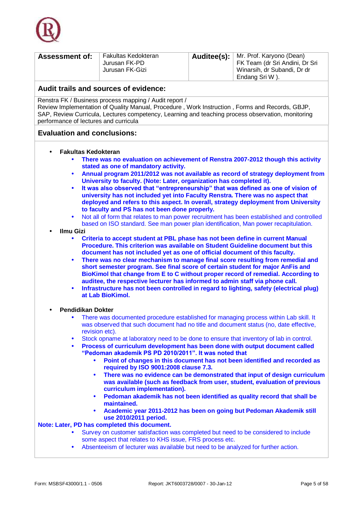

| <b>Assessment of:</b> | Fakultas Kedokteran<br>Jurusan FK-PD<br>Jurusan FK-Gizi |  | <b>Auditee(s):</b>   Mr. Prof. Karyono (Dean)<br>FK Team (dr Sri Andini, Dr Sri<br>Winarsih, dr Subandi, Dr dr<br>Endang Sri W). |
|-----------------------|---------------------------------------------------------|--|----------------------------------------------------------------------------------------------------------------------------------|
|-----------------------|---------------------------------------------------------|--|----------------------------------------------------------------------------------------------------------------------------------|

Renstra FK / Business process mapping / Audit report /

Review Implementation of Quality Manual, Procedure , Work Instruction , Forms and Records, GBJP, SAP, Review Curricula, Lectures competency, Learning and teaching process observation, monitoring performance of lectures and curricula

#### **Evaluation and conclusions:**

- **Fakultas Kedokteran**
	- **There was no evaluation on achievement of Renstra 2007-2012 though this activity stated as one of mandatory activity.**
	- **Annual program 2011/2012 was not available as record of strategy deployment from University to faculty. (Note: Later, organization has completed it).**
	- **It was also observed that "entrepreneurship" that was defined as one of vision of university has not included yet into Faculty Renstra. There was no aspect that deployed and refers to this aspect. In overall, strategy deployment from University to faculty and PS has not been done properly.**
	- Not all of form that relates to man power recruitment has been established and controlled based on ISO standard. See man power plan identification, Man power recapitulation.
- **Ilmu Gizi**
	- **Criteria to accept student at PBL phase has not been define in current Manual Procedure. This criterion was available on Student Guideline document but this document has not included yet as one of official document of this faculty.**
	- **There was no clear mechanism to manage final score resulting from remedial and short semester program. See final score of certain student for major AnFis and BioKimol that change from E to C without proper record of remedial. According to auditee, the respective lecturer has informed to admin staff via phone call.**
	- **Infrastructure has not been controlled in regard to lighting, safety (electrical plug) at Lab BioKimol.**
- **Pendidikan Dokter**
	- There was documented procedure established for managing process within Lab skill. It was observed that such document had no title and document status (no, date effective, revision etc).
	- Stock opname at laboratory need to be done to ensure that inventory of lab in control.
	- **Process of curriculum development has been done with output document called "Pedoman akademik PS PD 2010/2011". It was noted that**
		- **Point of changes in this document has not been identified and recorded as required by ISO 9001:2008 clause 7.3.**
		- **There was no evidence can be demonstrated that input of design curriculum was available (such as feedback from user, student, evaluation of previous curriculum implementation).**
		- **Pedoman akademik has not been identified as quality record that shall be maintained.**
		- **Academic year 2011-2012 has been on going but Pedoman Akademik still use 2010/2011 period.**

#### **Note: Later, PD has completed this document.**

- Survey on customer satisfaction was completed but need to be considered to include some aspect that relates to KHS issue, FRS process etc.
- Absenteeism of lecturer was available but need to be analyzed for further action.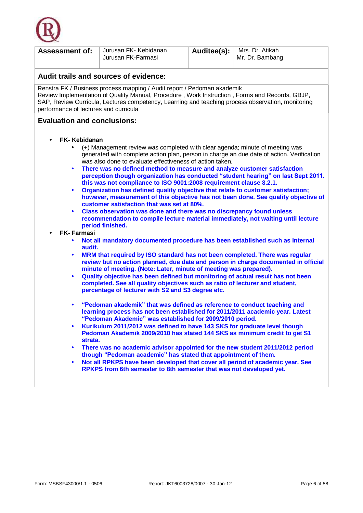

| Jurusan FK-Farmasi                                                                                                                                                                                                                                                                                                                                                                                                                                                                                                                                                                                                                                                                                                                                                                                                                                                                                                                                                                                                                                                                                                                                                                                                                                                                                                                                                                                                                                                                                                                                                                                                                                                                                                                                                                                                                                                                                                                                                                                                                                                                                                                                                                                                                                                                                                                       |                                       |  | Mr. Dr. Bambang |  |  |
|------------------------------------------------------------------------------------------------------------------------------------------------------------------------------------------------------------------------------------------------------------------------------------------------------------------------------------------------------------------------------------------------------------------------------------------------------------------------------------------------------------------------------------------------------------------------------------------------------------------------------------------------------------------------------------------------------------------------------------------------------------------------------------------------------------------------------------------------------------------------------------------------------------------------------------------------------------------------------------------------------------------------------------------------------------------------------------------------------------------------------------------------------------------------------------------------------------------------------------------------------------------------------------------------------------------------------------------------------------------------------------------------------------------------------------------------------------------------------------------------------------------------------------------------------------------------------------------------------------------------------------------------------------------------------------------------------------------------------------------------------------------------------------------------------------------------------------------------------------------------------------------------------------------------------------------------------------------------------------------------------------------------------------------------------------------------------------------------------------------------------------------------------------------------------------------------------------------------------------------------------------------------------------------------------------------------------------------|---------------------------------------|--|-----------------|--|--|
|                                                                                                                                                                                                                                                                                                                                                                                                                                                                                                                                                                                                                                                                                                                                                                                                                                                                                                                                                                                                                                                                                                                                                                                                                                                                                                                                                                                                                                                                                                                                                                                                                                                                                                                                                                                                                                                                                                                                                                                                                                                                                                                                                                                                                                                                                                                                          | Audit trails and sources of evidence: |  |                 |  |  |
| Renstra FK / Business process mapping / Audit report / Pedoman akademik<br>Review Implementation of Quality Manual, Procedure, Work Instruction, Forms and Records, GBJP,<br>SAP, Review Curricula, Lectures competency, Learning and teaching process observation, monitoring<br>performance of lectures and curricula                                                                                                                                                                                                                                                                                                                                                                                                                                                                                                                                                                                                                                                                                                                                                                                                                                                                                                                                                                                                                                                                                                                                                                                                                                                                                                                                                                                                                                                                                                                                                                                                                                                                                                                                                                                                                                                                                                                                                                                                                  |                                       |  |                 |  |  |
| <b>Evaluation and conclusions:</b>                                                                                                                                                                                                                                                                                                                                                                                                                                                                                                                                                                                                                                                                                                                                                                                                                                                                                                                                                                                                                                                                                                                                                                                                                                                                                                                                                                                                                                                                                                                                                                                                                                                                                                                                                                                                                                                                                                                                                                                                                                                                                                                                                                                                                                                                                                       |                                       |  |                 |  |  |
| <b>FK- Kebidanan</b><br>(+) Management review was completed with clear agenda; minute of meeting was<br>generated with complete action plan, person in charge an due date of action. Verification<br>was also done to evaluate effectiveness of action taken.<br>There was no defined method to measure and analyze customer satisfaction<br>$\bullet$<br>perception though organization has conducted "student hearing" on last Sept 2011.<br>this was not compliance to ISO 9001:2008 requirement clause 8.2.1.<br>Organization has defined quality objective that relate to customer satisfaction;<br>$\bullet$<br>however, measurement of this objective has not been done. See quality objective of<br>customer satisfaction that was set at 80%.<br>Class observation was done and there was no discrepancy found unless<br>$\bullet$<br>recommendation to compile lecture material immediately, not waiting until lecture<br>period finished.<br><b>FK-Farmasi</b><br>Not all mandatory documented procedure has been established such as Internal<br>$\bullet$<br>audit.<br>MRM that required by ISO standard has not been completed. There was regular<br>$\bullet$<br>review but no action planned, due date and person in charge documented in official<br>minute of meeting. (Note: Later, minute of meeting was prepared).<br>Quality objective has been defined but monitoring of actual result has not been<br>$\bullet$<br>completed. See all quality objectives such as ratio of lecturer and student,<br>percentage of lecturer with S2 and S3 degree etc.<br>"Pedoman akademik" that was defined as reference to conduct teaching and<br>$\bullet$<br>learning process has not been established for 2011/2011 academic year. Latest<br>"Pedoman Akademic" was established for 2009/2010 period.<br>Kurikulum 2011/2012 was defined to have 143 SKS for graduate level though<br>$\bullet$<br>Pedoman Akademik 2009/2010 has stated 144 SKS as minimum credit to get S1<br>strata.<br>There was no academic advisor appointed for the new student 2011/2012 period<br>$\bullet$<br>though "Pedoman academic" has stated that appointment of them.<br>Not all RPKPS have been developed that cover all period of academic year. See<br>$\bullet$<br>RPKPS from 6th semester to 8th semester that was not developed yet. |                                       |  |                 |  |  |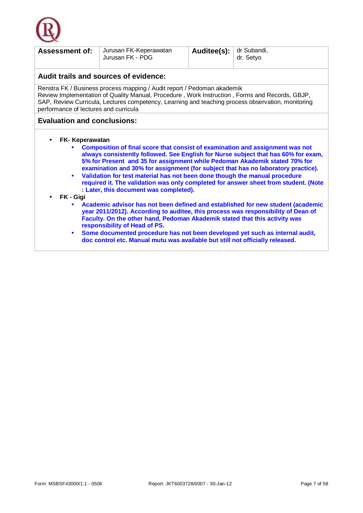

| <b>Assessment of:</b>                                                                                                                                                                                                                                                                                                                                                                                                                                                                                                                                                                                                                                                                                                                                                                                                                                                                                                                                                                                                                                                                            | Jurusan FK-Keperawatan<br>Jurusan FK - PDG | Auditee(s): | dr Subandi,<br>dr. Setyo |  |  |
|--------------------------------------------------------------------------------------------------------------------------------------------------------------------------------------------------------------------------------------------------------------------------------------------------------------------------------------------------------------------------------------------------------------------------------------------------------------------------------------------------------------------------------------------------------------------------------------------------------------------------------------------------------------------------------------------------------------------------------------------------------------------------------------------------------------------------------------------------------------------------------------------------------------------------------------------------------------------------------------------------------------------------------------------------------------------------------------------------|--------------------------------------------|-------------|--------------------------|--|--|
|                                                                                                                                                                                                                                                                                                                                                                                                                                                                                                                                                                                                                                                                                                                                                                                                                                                                                                                                                                                                                                                                                                  | Audit trails and sources of evidence:      |             |                          |  |  |
| Renstra FK / Business process mapping / Audit report / Pedoman akademik<br>Review Implementation of Quality Manual, Procedure, Work Instruction, Forms and Records, GBJP,<br>SAP, Review Curricula, Lectures competency, Learning and teaching process observation, monitoring<br>performance of lectures and curricula                                                                                                                                                                                                                                                                                                                                                                                                                                                                                                                                                                                                                                                                                                                                                                          |                                            |             |                          |  |  |
| <b>Evaluation and conclusions:</b>                                                                                                                                                                                                                                                                                                                                                                                                                                                                                                                                                                                                                                                                                                                                                                                                                                                                                                                                                                                                                                                               |                                            |             |                          |  |  |
| FK-Keperawatan<br>$\bullet$<br>Composition of final score that consist of examination and assignment was not<br>always consistently followed. See English for Nurse subject that has 60% for exam,<br>5% for Present and 35 for assignment while Pedoman Akademik stated 70% for<br>examination and 30% for assignment (for subject that has no laboratory practice).<br>Validation for test material has not been done though the manual procedure<br>$\bullet$<br>required it. The validation was only completed for answer sheet from student. (Note<br>: Later, this document was completed).<br>FK - Gigi<br>$\bullet$<br>Academic advisor has not been defined and established for new student (academic<br>year 2011/2012). According to auditee, this process was responsibility of Dean of<br>Faculty. On the other hand, Pedoman Akademik stated that this activity was<br>responsibility of Head of PS.<br>Some documented procedure has not been developed yet such as internal audit,<br>$\bullet$<br>doc control etc. Manual mutu was available but still not officially released. |                                            |             |                          |  |  |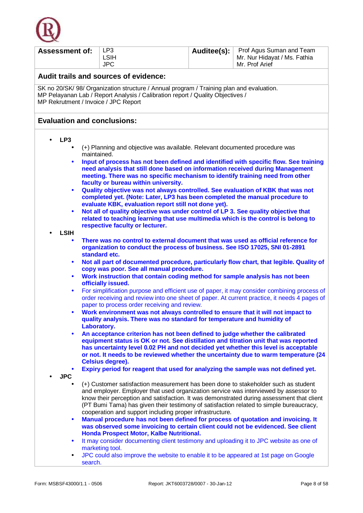

| <b>Assessment of:</b>                                                                                                                            | LP <sub>3</sub><br><b>LSIH</b>                                                                                                                                                                                                                                          | Auditee(s): | Prof Agus Suman and Team<br>Mr. Nur Hidayat / Ms. Fathia                                                                                                                                    |  |  |  |
|--------------------------------------------------------------------------------------------------------------------------------------------------|-------------------------------------------------------------------------------------------------------------------------------------------------------------------------------------------------------------------------------------------------------------------------|-------------|---------------------------------------------------------------------------------------------------------------------------------------------------------------------------------------------|--|--|--|
|                                                                                                                                                  | <b>JPC</b>                                                                                                                                                                                                                                                              |             | Mr. Prof Arief                                                                                                                                                                              |  |  |  |
|                                                                                                                                                  | Audit trails and sources of evidence:                                                                                                                                                                                                                                   |             |                                                                                                                                                                                             |  |  |  |
|                                                                                                                                                  | SK no 20/SK/98/ Organization structure / Annual program / Training plan and evaluation.<br>MP Pelayanan Lab / Report Analysis / Calibration report / Quality Objectives /<br>MP Rekrutment / Invoice / JPC Report                                                       |             |                                                                                                                                                                                             |  |  |  |
| <b>Evaluation and conclusions:</b>                                                                                                               |                                                                                                                                                                                                                                                                         |             |                                                                                                                                                                                             |  |  |  |
| LP <sub>3</sub>                                                                                                                                  |                                                                                                                                                                                                                                                                         |             |                                                                                                                                                                                             |  |  |  |
| maintained.                                                                                                                                      | (+) Planning and objective was available. Relevant documented procedure was                                                                                                                                                                                             |             |                                                                                                                                                                                             |  |  |  |
| $\bullet$                                                                                                                                        | need analysis that still done based on information received during Management<br>meeting. There was no specific mechanism to identify training need from other                                                                                                          |             | Input of process has not been defined and identified with specific flow. See training                                                                                                       |  |  |  |
|                                                                                                                                                  | faculty or bureau within university.                                                                                                                                                                                                                                    |             |                                                                                                                                                                                             |  |  |  |
| $\bullet$                                                                                                                                        | Quality objective was not always controlled. See evaluation of KBK that was not<br>completed yet. (Note: Later, LP3 has been completed the manual procedure to<br>evaluate KBK, evaluation report still not done yet).                                                  |             |                                                                                                                                                                                             |  |  |  |
| $\bullet$                                                                                                                                        | Not all of quality objective was under control of LP 3. See quality objective that<br>related to teaching learning that use multimedia which is the control is belong to                                                                                                |             |                                                                                                                                                                                             |  |  |  |
| <b>LSIH</b>                                                                                                                                      | respective faculty or lecturer.                                                                                                                                                                                                                                         |             |                                                                                                                                                                                             |  |  |  |
|                                                                                                                                                  | There was no control to external document that was used as official reference for<br>organization to conduct the process of business. See ISO 17025, SNI 01-2891<br>standard etc.                                                                                       |             |                                                                                                                                                                                             |  |  |  |
| Not all part of documented procedure, particularly flow chart, that legible. Quality of<br>$\bullet$<br>copy was poor. See all manual procedure. |                                                                                                                                                                                                                                                                         |             |                                                                                                                                                                                             |  |  |  |
| Work instruction that contain coding method for sample analysis has not been<br>$\bullet$<br>officially issued.                                  |                                                                                                                                                                                                                                                                         |             |                                                                                                                                                                                             |  |  |  |
| $\bullet$                                                                                                                                        | paper to process order receiving and review.                                                                                                                                                                                                                            |             | For simplification purpose and efficient use of paper, it may consider combining process of<br>order receiving and review into one sheet of paper. At current practice, it needs 4 pages of |  |  |  |
| $\bullet$                                                                                                                                        | Work environment was not always controlled to ensure that it will not impact to<br>quality analysis. There was no standard for temperature and humidity of                                                                                                              |             |                                                                                                                                                                                             |  |  |  |
| $\bullet$                                                                                                                                        | Laboratory.<br>An acceptance criterion has not been defined to judge whether the calibrated                                                                                                                                                                             |             |                                                                                                                                                                                             |  |  |  |
|                                                                                                                                                  | equipment status is OK or not. See distillation and titration unit that was reported<br>has uncertainty level 0.02 PH and not decided yet whether this level is acceptable                                                                                              |             | or not. It needs to be reviewed whether the uncertainty due to warm temperature (24                                                                                                         |  |  |  |
|                                                                                                                                                  | <b>Celsius degree).</b><br>Expiry period for reagent that used for analyzing the sample was not defined yet.                                                                                                                                                            |             |                                                                                                                                                                                             |  |  |  |
| <b>JPC</b><br>$\bullet$                                                                                                                          | (+) Customer satisfaction measurement has been done to stakeholder such as student<br>and employer. Employer that used organization service was interviewed by assessor to<br>know their perception and satisfaction. It was demonstrated during assessment that client |             |                                                                                                                                                                                             |  |  |  |
|                                                                                                                                                  | (PT Bumi Tama) has given their testimony of satisfaction related to simple bureaucracy,<br>cooperation and support including proper infrastructure.                                                                                                                     |             |                                                                                                                                                                                             |  |  |  |
| $\bullet$                                                                                                                                        | Manual procedure has not been defined for process of quotation and invoicing. It<br>was observed some invoicing to certain client could not be evidenced. See client<br>Honda Prospect Motor, Kalbe Nutritional.                                                        |             |                                                                                                                                                                                             |  |  |  |
| $\bullet$                                                                                                                                        | It may consider documenting client testimony and uploading it to JPC website as one of<br>marketing tool.                                                                                                                                                               |             |                                                                                                                                                                                             |  |  |  |
| $\bullet$<br>search.                                                                                                                             | JPC could also improve the website to enable it to be appeared at 1st page on Google                                                                                                                                                                                    |             |                                                                                                                                                                                             |  |  |  |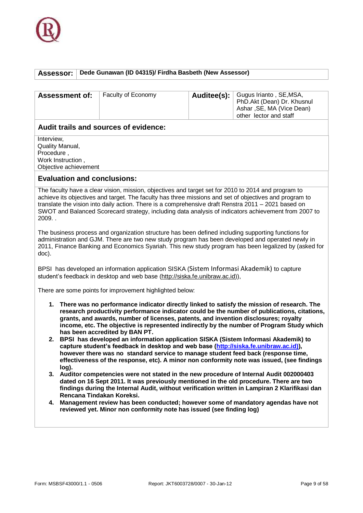

#### **Assessor: Dede Gunawan (ID 04315)/ Firdha Basbeth (New Assessor)**

| <b>Assessment of:</b> | Faculty of Economy | Auditee(s):   Gugus Irianto, SE,MSA,<br>PhD.Akt (Dean) Dr. Khusnul<br>Ashar, SE, MA (Vice Dean)<br>other lector and staff |
|-----------------------|--------------------|---------------------------------------------------------------------------------------------------------------------------|
|                       |                    |                                                                                                                           |

#### **Audit trails and sources of evidence:**

**Interview** Quality Manual, Procedure , Work Instruction , Objective achievement

#### **Evaluation and conclusions:**

The faculty have a clear vision, mission, objectives and target set for 2010 to 2014 and program to achieve its objectives and target. The faculty has three missions and set of objectives and program to translate the vision into daily action. There is a comprehensive draft Renstra 2011 – 2021 based on SWOT and Balanced Scorecard strategy, including data analysis of indicators achievement from 2007 to 2009. .

The business process and organization structure has been defined including supporting functions for administration and GJM. There are two new study program has been developed and operated newly in 2011, Finance Banking and Economics Syariah. This new study program has been legalized by (asked for doc).

BPSI has developed an information application SISKA (Sistem Informasi Akademik) to capture student's feedback in desktop and web base (http://siska.fe.unibraw.ac.id)),

There are some points for improvement highlighted below:

- **1. There was no performance indicator directly linked to satisfy the mission of research. The research productivity performance indicator could be the number of publications, citations, grants, and awards, number of licenses, patents, and invention disclosures; royalty income, etc. The objective is represented indirectly by the number of Program Study which has been accredited by BAN PT.**
- **2. BPSI has developed an information application SISKA (Sistem Informasi Akademik) to capture student's feedback in desktop and web base [\(http://siska.fe.unibraw.ac.id\)\)](http://siska.fe.unibraw.ac.id)/), however there was no standard service to manage student feed back (response time, effectiveness of the response, etc). A minor non conformity note was issued, (see findings log).**
- **3. Auditor competencies were not stated in the new procedure of Internal Audit 002000403 dated on 16 Sept 2011. It was previously mentioned in the old procedure. There are two findings during the Internal Audit, without verification written in Lampiran 2 Klarifikasi dan Rencana Tindakan Koreksi.**
- **4. Management review has been conducted; however some of mandatory agendas have not reviewed yet. Minor non conformity note has issued (see finding log)**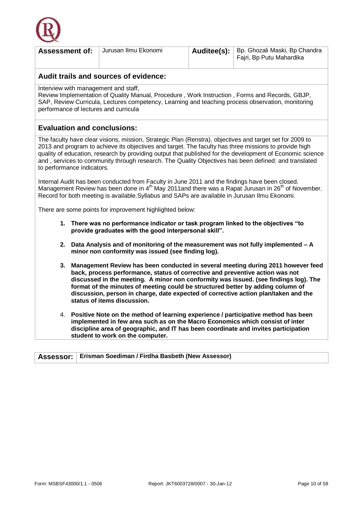

| <b>Assessment of:</b>                                                                                                                                                                                                                                                                                                                                                                                                                                                 |                                                                                                                                             | Jurusan Ilmu Ekonomi                                                                                                                                                                             | Auditee(s): | Bp. Ghozali Maski, Bp Chandra<br>Fajri, Bp Putu Mahardika                                                                                                                                                                                                                                                                                                                                                                              |
|-----------------------------------------------------------------------------------------------------------------------------------------------------------------------------------------------------------------------------------------------------------------------------------------------------------------------------------------------------------------------------------------------------------------------------------------------------------------------|---------------------------------------------------------------------------------------------------------------------------------------------|--------------------------------------------------------------------------------------------------------------------------------------------------------------------------------------------------|-------------|----------------------------------------------------------------------------------------------------------------------------------------------------------------------------------------------------------------------------------------------------------------------------------------------------------------------------------------------------------------------------------------------------------------------------------------|
|                                                                                                                                                                                                                                                                                                                                                                                                                                                                       |                                                                                                                                             | Audit trails and sources of evidence:                                                                                                                                                            |             |                                                                                                                                                                                                                                                                                                                                                                                                                                        |
| Interview with management and staff,<br>performance of lectures and curricula                                                                                                                                                                                                                                                                                                                                                                                         |                                                                                                                                             |                                                                                                                                                                                                  |             | Review Implementation of Quality Manual, Procedure, Work Instruction, Forms and Records, GBJP,<br>SAP, Review Curricula, Lectures competency, Learning and teaching process observation, monitoring                                                                                                                                                                                                                                    |
| <b>Evaluation and conclusions:</b>                                                                                                                                                                                                                                                                                                                                                                                                                                    |                                                                                                                                             |                                                                                                                                                                                                  |             |                                                                                                                                                                                                                                                                                                                                                                                                                                        |
| to performance indicators.                                                                                                                                                                                                                                                                                                                                                                                                                                            |                                                                                                                                             |                                                                                                                                                                                                  |             | The faculty have clear visions, mission, Strategic Plan (Renstra), objectives and target set for 2009 to<br>2013 and program to achieve its objectives and target. The faculty has three missions to provide high<br>quality of education, research by providing output that published for the development of Economic science<br>and, services to community through research. The Quality Objectives has been defined: and translated |
|                                                                                                                                                                                                                                                                                                                                                                                                                                                                       |                                                                                                                                             | Internal Audit has been conducted from Faculty in June 2011 and the findings have been closed.<br>Record for both meeting is available. Syllabus and SAPs are available in Jurusan Ilmu Ekonomi. |             | Management Review has been done in 4 <sup>th</sup> May 2011and there was a Rapat Jurusan in 26 <sup>th</sup> of November.                                                                                                                                                                                                                                                                                                              |
|                                                                                                                                                                                                                                                                                                                                                                                                                                                                       |                                                                                                                                             | There are some points for improvement highlighted below:                                                                                                                                         |             |                                                                                                                                                                                                                                                                                                                                                                                                                                        |
|                                                                                                                                                                                                                                                                                                                                                                                                                                                                       | 1. There was no performance indicator or task program linked to the objectives "to<br>provide graduates with the good interpersonal skill". |                                                                                                                                                                                                  |             |                                                                                                                                                                                                                                                                                                                                                                                                                                        |
|                                                                                                                                                                                                                                                                                                                                                                                                                                                                       |                                                                                                                                             | minor non conformity was issued (see finding log).                                                                                                                                               |             | 2. Data Analysis and of monitoring of the measurement was not fully implemented - A                                                                                                                                                                                                                                                                                                                                                    |
| 3. Management Review has been conducted in several meeting during 2011 however feed<br>back, process performance, status of corrective and preventive action was not<br>discussed in the meeting. A minor non conformity was issued. (see findings log). The<br>format of the minutes of meeting could be structured better by adding column of<br>discussion, person in charge, date expected of corrective action plan/taken and the<br>status of items discussion. |                                                                                                                                             |                                                                                                                                                                                                  |             |                                                                                                                                                                                                                                                                                                                                                                                                                                        |
| 4. Positive Note on the method of learning experience / participative method has been<br>implemented in few area such as on the Macro Economics which consist of inter<br>discipline area of geographic, and IT has been coordinate and invites participation<br>student to work on the computer.                                                                                                                                                                     |                                                                                                                                             |                                                                                                                                                                                                  |             |                                                                                                                                                                                                                                                                                                                                                                                                                                        |
| <b>Assessor:</b>                                                                                                                                                                                                                                                                                                                                                                                                                                                      |                                                                                                                                             | Erisman Soediman / Firdha Basbeth (New Assessor)                                                                                                                                                 |             |                                                                                                                                                                                                                                                                                                                                                                                                                                        |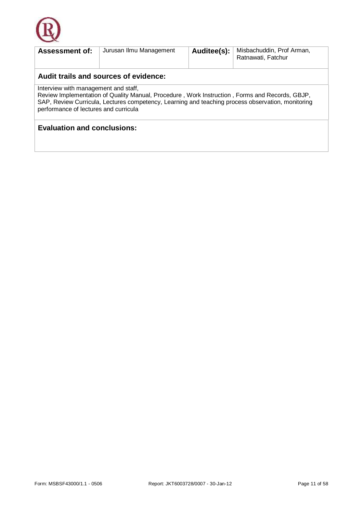

| <b>Assessment of:</b>                                                                                                                                                                                                                                                                | Jurusan Ilmu Management | Auditee(s): | Misbachuddin, Prof Arman,<br>Ratnawati, Fatchur |  |  |
|--------------------------------------------------------------------------------------------------------------------------------------------------------------------------------------------------------------------------------------------------------------------------------------|-------------------------|-------------|-------------------------------------------------|--|--|
| Audit trails and sources of evidence:                                                                                                                                                                                                                                                |                         |             |                                                 |  |  |
| Interview with management and staff,<br>Review Implementation of Quality Manual, Procedure, Work Instruction, Forms and Records, GBJP,<br>SAP, Review Curricula, Lectures competency, Learning and teaching process observation, monitoring<br>performance of lectures and curricula |                         |             |                                                 |  |  |
| <b>Evaluation and conclusions:</b>                                                                                                                                                                                                                                                   |                         |             |                                                 |  |  |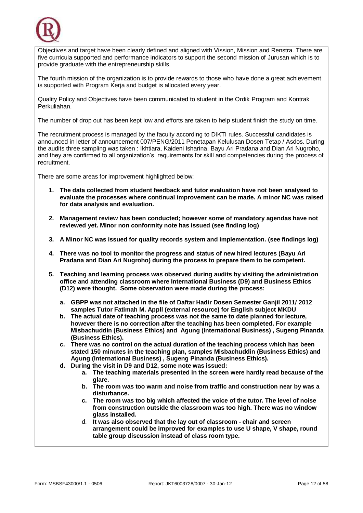

Objectives and target have been clearly defined and aligned with Vission, Mission and Renstra. There are five curricula supported and performance indicators to support the second mission of Jurusan which is to provide graduate with the entrepreneurship skills.

The fourth mission of the organization is to provide rewards to those who have done a great achievement is supported with Program Keria and budget is allocated every year.

Quality Policy and Objectives have been communicated to student in the Ordik Program and Kontrak Perkuliahan.

The number of drop out has been kept low and efforts are taken to help student finish the study on time.

The recruitment process is managed by the faculty according to DIKTI rules. Successful candidates is announced in letter of announcement 007/PENG/2011 Penetapan Kelulusan Dosen Tetap / Asdos. During the audits three sampling was taken : Ikhtiara, Kaideni Isharina, Bayu Ari Pradana and Dian Ari Nugroho, and they are confirmed to all organization's requirements for skill and competencies during the process of recruitment.

There are some areas for improvement highlighted below:

- **1. The data collected from student feedback and tutor evaluation have not been analysed to evaluate the processes where continual improvement can be made. A minor NC was raised for data analysis and evaluation.**
- **2. Management review has been conducted; however some of mandatory agendas have not reviewed yet. Minor non conformity note has issued (see finding log)**
- **3. A Minor NC was issued for quality records system and implementation. (see findings log)**
- **4. There was no tool to monitor the progress and status of new hired lectures (Bayu Ari Pradana and Dian Ari Nugroho) during the process to prepare them to be competent.**
- **5. Teaching and learning process was observed during audits by visiting the administration office and attending classroom where International Business (D9) and Business Ethics (D12) were thought. Some observation were made during the process:** 
	- **a. GBPP was not attached in the file of Daftar Hadir Dosen Semester Ganjil 2011/ 2012 samples Tutor Fatimah M. Appll (external resource) for English subject MKDU**
	- **b. The actual date of teaching process was not the same to date planned for lecture, however there is no correction after the teaching has been completed. For example Misbachuddin (Business Ethics) and Agung (International Business) , Sugeng Pinanda (Business Ethics).**
	- **c. There was no control on the actual duration of the teaching process which has been stated 150 minutes in the teaching plan, samples Misbachuddin (Business Ethics) and Agung (International Business) , Sugeng Pinanda (Business Ethics).**
	- **d. During the visit in D9 and D12, some note was issued:** 
		- **a. The teaching materials presented in the screen were hardly read because of the glare.**
		- **b. The room was too warm and noise from traffic and construction near by was a disturbance.**
		- **c. The room was too big which affected the voice of the tutor. The level of noise from construction outside the classroom was too high. There was no window glass installed.**
		- d. **It was also observed that the lay out of classroom - chair and screen arrangement could be improved for examples to use U shape, V shape, round table group discussion instead of class room type.**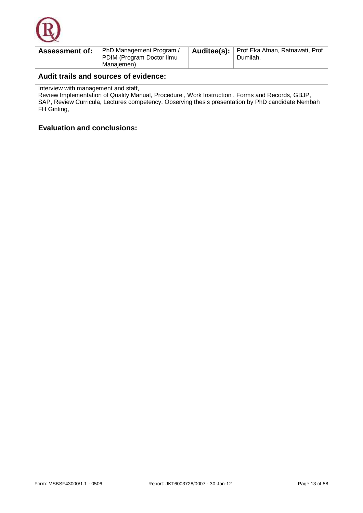

| <b>Assessment of:</b>                                                                                                                                                                                                                                      | PhD Management Program /<br>PDIM (Program Doctor Ilmu<br>Manajemen) | Auditee(s): | Prof Eka Afnan, Ratnawati, Prof<br>Dumilah, |  |
|------------------------------------------------------------------------------------------------------------------------------------------------------------------------------------------------------------------------------------------------------------|---------------------------------------------------------------------|-------------|---------------------------------------------|--|
| Audit trails and sources of evidence:                                                                                                                                                                                                                      |                                                                     |             |                                             |  |
| Interview with management and staff,<br>Review Implementation of Quality Manual, Procedure, Work Instruction, Forms and Records, GBJP,<br>SAP, Review Curricula, Lectures competency, Observing thesis presentation by PhD candidate Nembah<br>FH Ginting, |                                                                     |             |                                             |  |

### **Evaluation and conclusions:**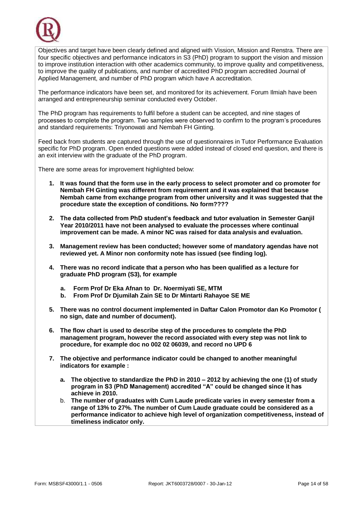

Objectives and target have been clearly defined and aligned with Vission, Mission and Renstra. There are four specific objectives and performance indicators in S3 (PhD) program to support the vision and mission to improve institution interaction with other academics community, to improve quality and competitiveness, to improve the quality of publications, and number of accredited PhD program accredited Journal of Applied Management, and number of PhD program which have A accreditation.

The performance indicators have been set, and monitored for its achievement. Forum Ilmiah have been arranged and entrepreneurship seminar conducted every October.

The PhD program has requirements to fulfil before a student can be accepted, and nine stages of processes to complete the program. Two samples were observed to confirm to the program's procedures and standard requirements: Triyonowati and Nembah FH Ginting.

Feed back from students are captured through the use of questionnaires in Tutor Performance Evaluation specific for PhD program. Open ended questions were added instead of closed end question, and there is an exit interview with the graduate of the PhD program.

There are some areas for improvement highlighted below:

- **1. It was found that the form use in the early process to select promoter and co promoter for Nembah FH Ginting was different from requirement and it was explained that because Nembah came from exchange program from other university and it was suggested that the procedure state the exception of conditions. No form????**
- **2. The data collected from PhD student's feedback and tutor evaluation in Semester Ganjil Year 2010/2011 have not been analysed to evaluate the processes where continual improvement can be made. A minor NC was raised for data analysis and evaluation.**
- **3. Management review has been conducted; however some of mandatory agendas have not reviewed yet. A Minor non conformity note has issued (see finding log).**
- **4. There was no record indicate that a person who has been qualified as a lecture for graduate PhD program (S3), for example** 
	- **a. Form Prof Dr Eka Afnan to Dr. Noermiyati SE, MTM**
	- **b. From Prof Dr Djumilah Zain SE to Dr Mintarti Rahayoe SE ME**
- **5. There was no control document implemented in Daftar Calon Promotor dan Ko Promotor ( no sign, date and number of document).**
- **6. The flow chart is used to describe step of the procedures to complete the PhD management program, however the record associated with every step was not link to procedure, for example doc no 002 02 06039, and record no UPD 6**
- **7. The objective and performance indicator could be changed to another meaningful indicators for example :**
	- **a. The objective to standardize the PhD in 2010 – 2012 by achieving the one (1) of study program in S3 (PhD Management) accredited "A" could be changed since it has achieve in 2010.**
	- b. **The number of graduates with Cum Laude predicate varies in every semester from a range of 13% to 27%. The number of Cum Laude graduate could be considered as a performance indicator to achieve high level of organization competitiveness, instead of timeliness indicator only.**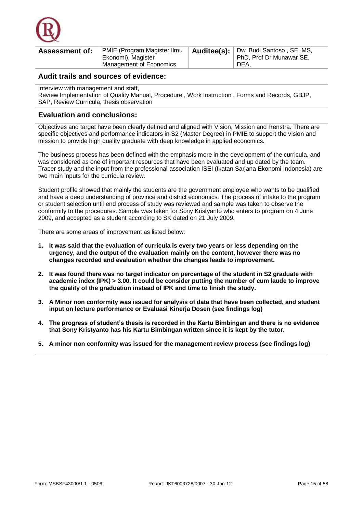

| <b>Assessment of:</b> | PMIE (Program Magister Ilmu | Auditee(s): Dwi Budi Santoso, SE, MS, |
|-----------------------|-----------------------------|---------------------------------------|
|                       | Ekonomi), Magister          | PhD, Prof Dr Munawar SE,              |
|                       | Management of Economics     | DEA.                                  |

Interview with management and staff,

Review Implementation of Quality Manual, Procedure , Work Instruction , Forms and Records, GBJP, SAP, Review Curricula, thesis observation

#### **Evaluation and conclusions:**

Objectives and target have been clearly defined and aligned with Vision, Mission and Renstra. There are specific objectives and performance indicators in S2 (Master Degree) in PMIE to support the vision and mission to provide high quality graduate with deep knowledge in applied economics.

The business process has been defined with the emphasis more in the development of the curricula, and was considered as one of important resources that have been evaluated and up dated by the team. Tracer study and the input from the professional association ISEI (Ikatan Sarjana Ekonomi Indonesia) are two main inputs for the curricula review.

Student profile showed that mainly the students are the government employee who wants to be qualified and have a deep understanding of province and district economics. The process of intake to the program or student selection until end process of study was reviewed and sample was taken to observe the conformity to the procedures. Sample was taken for Sony Kristyanto who enters to program on 4 June 2009, and accepted as a student according to SK dated on 21 July 2009.

There are some areas of improvement as listed below:

- **1. It was said that the evaluation of curricula is every two years or less depending on the urgency, and the output of the evaluation mainly on the content, however there was no changes recorded and evaluation whether the changes leads to improvement.**
- **2. It was found there was no target indicator on percentage of the student in S2 graduate with academic index (IPK) > 3.00. It could be consider putting the number of cum laude to improve the quality of the graduation instead of IPK and time to finish the study.**
- **3. A Minor non conformity was issued for analysis of data that have been collected, and student input on lecture performance or Evaluasi Kinerja Dosen (see findings log)**
- **4. The progress of student's thesis is recorded in the Kartu Bimbingan and there is no evidence that Sony Kristyanto has his Kartu Bimbingan written since it is kept by the tutor.**
- **5. A minor non conformity was issued for the management review process (see findings log)**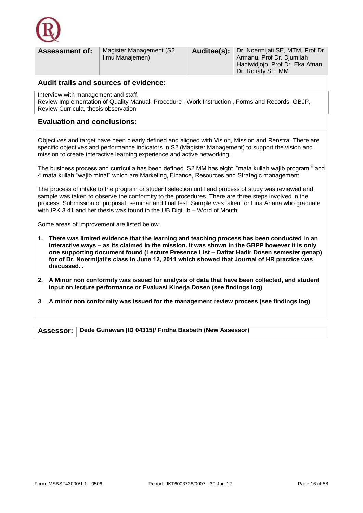

| <b>Assessment of:</b>                | Magister Management (S2<br>Ilmu Manajemen) | Auditee(s): $ $ | Dr. Noermijati SE, MTM, Prof Dr<br>Armanu, Prof Dr. Djumilah<br>Hadiwidjojo, Prof Dr. Eka Afnan,<br>Dr, Rofiaty SE, MM |  |
|--------------------------------------|--------------------------------------------|-----------------|------------------------------------------------------------------------------------------------------------------------|--|
|                                      | Audit trails and sources of evidence:      |                 |                                                                                                                        |  |
| Interview with management and staff, |                                            |                 |                                                                                                                        |  |

Review Implementation of Quality Manual, Procedure , Work Instruction , Forms and Records, GBJP, Review Curricula, thesis observation

#### **Evaluation and conclusions:**

Objectives and target have been clearly defined and aligned with Vision, Mission and Renstra. There are specific objectives and performance indicators in S2 (Magister Management) to support the vision and mission to create interactive learning experience and active networking.

The business process and curriculla has been defined. S2 MM has eight "mata kuliah wajib program " and 4 mata kuliah "wajib minat" which are Marketing, Finance, Resources and Strategic management.

The process of intake to the program or student selection until end process of study was reviewed and sample was taken to observe the conformity to the procedures. There are three steps involved in the process: Submission of proposal, seminar and final test. Sample was taken for Lina Ariana who graduate with IPK 3.41 and her thesis was found in the UB DigiLib – Word of Mouth

Some areas of improvement are listed below:

- **1. There was limited evidence that the learning and teaching process has been conducted in an interactive ways – as its claimed in the mission. It was shown in the GBPP however it is only one supporting document found (Lecture Presence List – Daftar Hadir Dosen semester genap) for of Dr. Noermijati's class in June 12, 2011 which showed that Journal of HR practice was discussed. .**
- **2. A Minor non conformity was issued for analysis of data that have been collected, and student input on lecture performance or Evaluasi Kinerja Dosen (see findings log)**
- 3. **A minor non conformity was issued for the management review process (see findings log)**

**Assessor: Dede Gunawan (ID 04315)/ Firdha Basbeth (New Assessor)**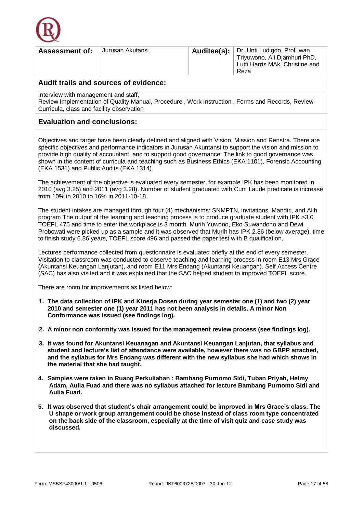

| Jurusan Akutansi<br><b>Assessment of:</b> | Auditee(s):   Dr. Unti Ludigdo, Prof Iwan<br>Triyuwono, Ali Djamhuri PhD,<br>Lutfi Harris MAk, Christine and<br>Reza |
|-------------------------------------------|----------------------------------------------------------------------------------------------------------------------|
|                                           |                                                                                                                      |

Interview with management and staff,

Review Implementation of Quality Manual, Procedure , Work Instruction , Forms and Records, Review Curricula, class and facility observation

#### **Evaluation and conclusions:**

Objectives and target have been clearly defined and aligned with Vision, Mission and Renstra. There are specific objectives and performance indicators in Jurusan Akuntansi to support the vision and mission to provide high quality of accountant, and to support good governance. The link to good governance was shown in the content of curricula and teaching such as Business Ethics (EKA 1101), Forensic Accounting (EKA 1531) and Public Audits (EKA 1314).

The achievement of the objective is evaluated every semester, for example IPK has been monitored in 2010 (avg 3.25) and 2011 (avg 3.28). Number of student graduated with Cum Laude predicate is increase from 10% in 2010 to 16% in 2011-10-18.

The student intakes are managed through four (4) mechanisms: SNMPTN, invitations, Mandiri, and Alih program The output of the learning and teaching process is to produce graduate student with IPK >3.0 TOEFL 475 and time to enter the workplace is 3 month. Murih Yuwono, Eko Suwandono and Dewi Probowati were picked up as a sample and it was observed that Murih has IPK 2.86 (below average), time to finish study 6.86 years, TOEFL score 496 and passed the paper test with B qualification.

Lectures performance collected from questionnaire is evaluated briefly at the end of every semester. Visitation to classroom was conducted to observe teaching and learning process in room E13 Mrs Grace (Akuntansi Keuangan Lanjutan), and room E11 Mrs Endang (Akuntansi Keuangan). Self Access Centre (SAC) has also visited and it was explained that the SAC helped student to improved TOEFL score.

There are room for improvements as listed below:

- **1. The data collection of IPK and Kinerja Dosen during year semester one (1) and two (2) year 2010 and semester one (1) year 2011 has not been analysis in details. A minor Non Conformance was issued (see findings log).**
- **2. A minor non conformity was issued for the management review process (see findings log).**
- **3. It was found for Akuntansi Keuanagan and Akuntansi Keuangan Lanjutan, that syllabus and student and lecture's list of attendance were available, however there was no GBPP attached, and the syllabus for Mrs Endang was different with the new syllabus she had which shows in the material that she had taught.**
- **4. Samples were taken in Ruang Perkuliahan : Bambang Purnomo Sidi, Tuban Priyah, Helmy Adam, Aulia Fuad and there was no syllabus attached for lecture Bambang Purnomo Sidi and Aulia Fuad.**
- **5. It was observed that student's chair arrangement could be improved in Mrs Grace's class. The U shape or work group arrangement could be chose instead of class room type concentrated on the back side of the classroom, especially at the time of visit quiz and case study was discussed.**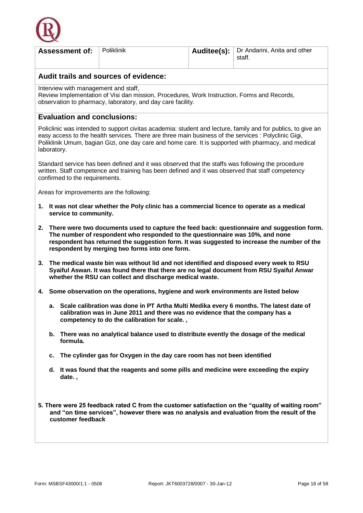

|                                                                                                                                                                                                                                                                                                                                 | <b>Assessment of:</b>              | Poliklinik                                                                                                                                                                                                                                                                                                                   | Auditee(s): | Dr Andarini, Anita and other<br>staff. |  |
|---------------------------------------------------------------------------------------------------------------------------------------------------------------------------------------------------------------------------------------------------------------------------------------------------------------------------------|------------------------------------|------------------------------------------------------------------------------------------------------------------------------------------------------------------------------------------------------------------------------------------------------------------------------------------------------------------------------|-------------|----------------------------------------|--|
|                                                                                                                                                                                                                                                                                                                                 |                                    | Audit trails and sources of evidence:                                                                                                                                                                                                                                                                                        |             |                                        |  |
| Interview with management and staff,<br>Review Implementation of Visi dan mission, Procedures, Work Instruction, Forms and Records,<br>observation to pharmacy, laboratory, and day care facility.                                                                                                                              |                                    |                                                                                                                                                                                                                                                                                                                              |             |                                        |  |
|                                                                                                                                                                                                                                                                                                                                 | <b>Evaluation and conclusions:</b> |                                                                                                                                                                                                                                                                                                                              |             |                                        |  |
| laboratory.                                                                                                                                                                                                                                                                                                                     |                                    | Policlinic was intended to support civitas academia: student and lecture, family and for publics, to give an<br>easy access to the health services. There are three main business of the services : Polyclinic Gigi,<br>Poliklinik Umum, bagian Gizi, one day care and home care. It is supported with pharmacy, and medical |             |                                        |  |
|                                                                                                                                                                                                                                                                                                                                 | confirmed to the requirements.     | Standard service has been defined and it was observed that the staffs was following the procedure<br>written. Staff competence and training has been defined and it was observed that staff competency                                                                                                                       |             |                                        |  |
|                                                                                                                                                                                                                                                                                                                                 |                                    | Areas for improvements are the following:                                                                                                                                                                                                                                                                                    |             |                                        |  |
|                                                                                                                                                                                                                                                                                                                                 | service to community.              | 1. It was not clear whether the Poly clinic has a commercial licence to operate as a medical                                                                                                                                                                                                                                 |             |                                        |  |
| 2. There were two documents used to capture the feed back: questionnaire and suggestion form.<br>The number of respondent who responded to the questionnaire was 10%, and none<br>respondent has returned the suggestion form. It was suggested to increase the number of the<br>respondent by merging two forms into one form. |                                    |                                                                                                                                                                                                                                                                                                                              |             |                                        |  |
|                                                                                                                                                                                                                                                                                                                                 |                                    | 3. The medical waste bin was without lid and not identified and disposed every week to RSU<br>Syaiful Aswan. It was found there that there are no legal document from RSU Syaiful Anwar<br>whether the RSU can collect and discharge medical waste.                                                                          |             |                                        |  |
|                                                                                                                                                                                                                                                                                                                                 |                                    | 4. Some observation on the operations, hygiene and work environments are listed below                                                                                                                                                                                                                                        |             |                                        |  |
| a. Scale calibration was done in PT Artha Multi Medika every 6 months. The latest date of<br>calibration was in June 2011 and there was no evidence that the company has a<br>competency to do the calibration for scale.,                                                                                                      |                                    |                                                                                                                                                                                                                                                                                                                              |             |                                        |  |
| b. There was no analytical balance used to distribute evently the dosage of the medical<br>formula.                                                                                                                                                                                                                             |                                    |                                                                                                                                                                                                                                                                                                                              |             |                                        |  |
| c.                                                                                                                                                                                                                                                                                                                              |                                    | The cylinder gas for Oxygen in the day care room has not been identified                                                                                                                                                                                                                                                     |             |                                        |  |
| It was found that the reagents and some pills and medicine were exceeding the expiry<br>d.<br>date.,                                                                                                                                                                                                                            |                                    |                                                                                                                                                                                                                                                                                                                              |             |                                        |  |
| 5. There were 25 feedback rated C from the customer satisfaction on the "quality of waiting room"<br>and "on time services", however there was no analysis and evaluation from the result of the<br>customer feedback                                                                                                           |                                    |                                                                                                                                                                                                                                                                                                                              |             |                                        |  |
|                                                                                                                                                                                                                                                                                                                                 |                                    |                                                                                                                                                                                                                                                                                                                              |             |                                        |  |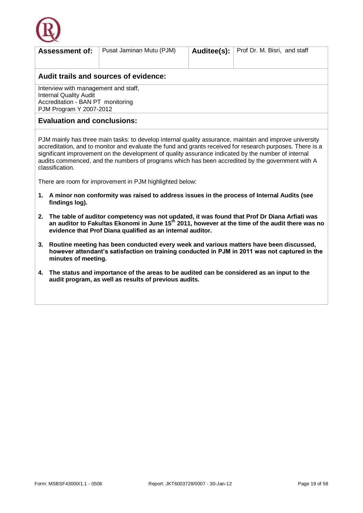

| <b>Assessment of:</b>                 | Pusat Jaminan Mutu (PJM) |  | <b>Auditee(s):</b>   Prof Dr. M. Bisri, and staff |  |  |
|---------------------------------------|--------------------------|--|---------------------------------------------------|--|--|
| Audit trails and sources of evidence: |                          |  |                                                   |  |  |
| Interview with management and staff,  |                          |  |                                                   |  |  |

Internal Quality Audit Accreditation - BAN PT monitoring PJM Program Y 2007-2012

#### **Evaluation and conclusions:**

PJM mainly has three main tasks: to develop internal quality assurance, maintain and improve university accreditation, and to monitor and evaluate the fund and grants received for research purposes. There is a significant improvement on the development of quality assurance indicated by the number of internal audits commenced, and the numbers of programs which has been accredited by the government with A classification.

There are room for improvement in PJM highlighted below:

- **1. A minor non conformity was raised to address issues in the process of Internal Audits (see findings log).**
- **2. The table of auditor competency was not updated, it was found that Prof Dr Diana Arfiati was an auditor to Fakultas Ekonomi in June 15th 2011, however at the time of the audit there was no evidence that Prof Diana qualified as an internal auditor.**
- **3. Routine meeting has been conducted every week and various matters have been discussed, however attendant's satisfaction on training conducted in PJM in 2011 was not captured in the minutes of meeting.**
- **4. The status and importance of the areas to be audited can be considered as an input to the audit program, as well as results of previous audits.**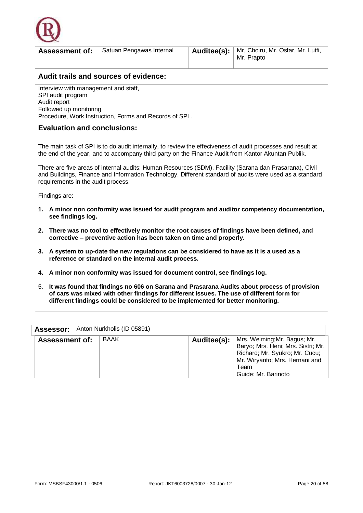

| <b>Assessment of:</b>                                                                                                                                         | Satuan Pengawas Internal                                                                                                                                                                                                                                                                                                                                                                                                                                                     | Auditee(s): | Mr, Choiru, Mr. Osfar, Mr. Lutfi,<br>Mr. Prapto |  |  |
|---------------------------------------------------------------------------------------------------------------------------------------------------------------|------------------------------------------------------------------------------------------------------------------------------------------------------------------------------------------------------------------------------------------------------------------------------------------------------------------------------------------------------------------------------------------------------------------------------------------------------------------------------|-------------|-------------------------------------------------|--|--|
|                                                                                                                                                               | Audit trails and sources of evidence:                                                                                                                                                                                                                                                                                                                                                                                                                                        |             |                                                 |  |  |
| Interview with management and staff,<br>SPI audit program<br>Audit report<br>Followed up monitoring<br>Procedure, Work Instruction, Forms and Records of SPI. |                                                                                                                                                                                                                                                                                                                                                                                                                                                                              |             |                                                 |  |  |
| <b>Evaluation and conclusions:</b>                                                                                                                            |                                                                                                                                                                                                                                                                                                                                                                                                                                                                              |             |                                                 |  |  |
| Findings are:                                                                                                                                                 | The main task of SPI is to do audit internally, to review the effeciveness of audit processes and result at<br>the end of the year, and to accompany third party on the Finance Audit from Kantor Akuntan Publik.<br>There are five areas of internal audits: Human Resources (SDM), Facility (Sarana dan Prasarana), Civil<br>and Buildings, Finance and Information Technology. Different standard of audits were used as a standard<br>requirements in the audit process. |             |                                                 |  |  |
|                                                                                                                                                               | 1. A minor non conformity was issued for audit program and auditor competency documentation,<br>see findings log.                                                                                                                                                                                                                                                                                                                                                            |             |                                                 |  |  |
| 2.                                                                                                                                                            | There was no tool to effectively monitor the root causes of findings have been defined, and<br>corrective - preventive action has been taken on time and properly.                                                                                                                                                                                                                                                                                                           |             |                                                 |  |  |
| A system to up-date the new regulations can be considered to have as it is a used as a<br>3.<br>reference or standard on the internal audit process.          |                                                                                                                                                                                                                                                                                                                                                                                                                                                                              |             |                                                 |  |  |
| 4.                                                                                                                                                            | A minor non conformity was issued for document control, see findings log.                                                                                                                                                                                                                                                                                                                                                                                                    |             |                                                 |  |  |
| 5.                                                                                                                                                            | It was found that findings no 606 on Sarana and Prasarana Audits about process of provision<br>of cars was mixed with other findings for different issues. The use of different form for<br>different findings could be considered to be implemented for better monitoring.                                                                                                                                                                                                  |             |                                                 |  |  |

| <b>Assessor:</b>      | Anton Nurkholis (ID 05891) |                                                                                                                                                                                     |
|-----------------------|----------------------------|-------------------------------------------------------------------------------------------------------------------------------------------------------------------------------------|
| <b>Assessment of:</b> | BAAK                       | Auditee(s):   Mrs. Welming; Mr. Bagus; Mr.<br>Baryo; Mrs. Heni; Mrs. Sistri; Mr.<br>Richard; Mr. Syukro; Mr. Cucu;<br>Mr. Wiryanto; Mrs. Hernani and<br>Team<br>Guide: Mr. Barinoto |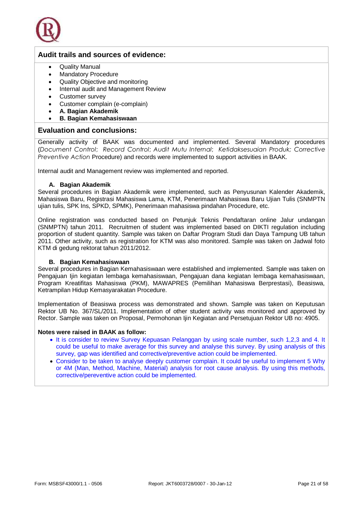

- Quality Manual
- Mandatory Procedure
- Quality Objective and monitoring
- Internal audit and Management Review
- Customer survey
- Customer complain (e-complain)
- **A. Bagian Akademik**
- **B. Bagian Kemahasiswaan**

#### **Evaluation and conclusions:**

Generally activity of BAAK was documented and implemented. Several Mandatory procedures (*Document Control*; *Record Control*; *Audit Mutu Internal*; *Ketidaksesuaian Produk; Corrective Preventive Action* Procedure) and records were implemented to support activities in BAAK.

Internal audit and Management review was implemented and reported.

#### **A. Bagian Akademik**

Several procedures in Bagian Akademik were implemented, such as Penyusunan Kalender Akademik, Mahasiswa Baru, Registrasi Mahasiswa Lama, KTM, Penerimaan Mahasiswa Baru Ujian Tulis (SNMPTN ujian tulis, SPK Ins, SPKD, SPMK), Penerimaan mahasiswa pindahan Procedure, etc.

Online registration was conducted based on Petunjuk Teknis Pendaftaran online Jalur undangan (SNMPTN) tahun 2011. Recruitmen of student was implemented based on DIKTI regulation including proportion of student quantity. Sample was taken on Daftar Program Studi dan Daya Tampung UB tahun 2011. Other activity, such as registration for KTM was also monitored. Sample was taken on Jadwal foto KTM di gedung rektorat tahun 2011/2012.

#### **B. Bagian Kemahasiswaan**

Several procedures in Bagian Kemahasiswaan were established and implemented. Sample was taken on Pengajuan Ijin kegiatan lembaga kemahasiswaan, Pengajuan dana kegiatan lembaga kemahasiswaan, Program Kreatifitas Mahasiswa (PKM), MAWAPRES (Pemilihan Mahasiswa Berprestasi), Beasiswa, Ketrampilan Hidup Kemasyarakatan Procedure.

Implementation of Beasiswa process was demonstrated and shown. Sample was taken on Keputusan Rektor UB No. 367/SL/2011. Implementation of other student activity was monitored and approved by Rector. Sample was taken on Proposal, Permohonan Ijin Kegiatan and Persetujuan Rektor UB no: 4905.

#### **Notes were raised in BAAK as follow:**

- It is consider to review Survey Kepuasan Pelanggan by using scale number, such 1,2,3 and 4. It could be useful to make average for this survey and analyse this survey. By using analysis of this survey, gap was identified and corrective/preventive action could be implemented.
- Consider to be taken to analyse deeply customer complain. It could be useful to implement 5 Why or 4M (Man, Method, Machine, Material) analysis for root cause analysis. By using this methods, corrective/pereventive action could be implemented.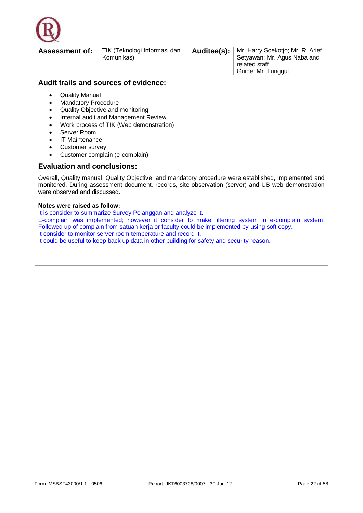

| <b>Assessment of:</b>                                                         | TIK (Teknologi Informasi dan<br>Komunikas) | Auditee(s): | Mr. Harry Soekotjo; Mr. R. Arief<br>Setyawan; Mr. Agus Naba and<br>related staff<br>Guide: Mr. Tunggul |  |  |
|-------------------------------------------------------------------------------|--------------------------------------------|-------------|--------------------------------------------------------------------------------------------------------|--|--|
| Audit trails and sources of evidence:                                         |                                            |             |                                                                                                        |  |  |
| <b>Quality Manual</b><br><b>Mandatory Procedure</b><br>$\bullet$<br>$\bullet$ | Quality Objective and monitoring           |             |                                                                                                        |  |  |

- Internal audit and Management Review
- Work process of TIK (Web demonstration)
- Server Room
- IT Maintenance
- Customer survey
- Customer complain (e-complain)

#### **Evaluation and conclusions:**

Overall, Quality manual, Quality Objective and mandatory procedure were established, implemented and monitored. During assessment document, records, site observation (server) and UB web demonstration were observed and discussed.

#### **Notes were raised as follow:**

It is consider to summarize Survey Pelanggan and analyze it. E-complain was implemented; however it consider to make filtering system in e-complain system. Followed up of complain from satuan kerja or faculty could be implemented by using soft copy. It consider to monitor server room temperature and record it. It could be useful to keep back up data in other building for safety and security reason.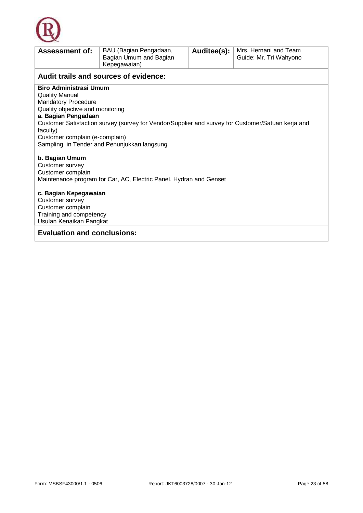

| <b>Assessment of:</b>                                                                                                                                                                         | BAU (Bagian Pengadaan,<br>Bagian Umum and Bagian<br>Kepegawaian)                                                                                 | Auditee(s): | Mrs. Hernani and Team<br>Guide: Mr. Tri Wahyono |  |  |
|-----------------------------------------------------------------------------------------------------------------------------------------------------------------------------------------------|--------------------------------------------------------------------------------------------------------------------------------------------------|-------------|-------------------------------------------------|--|--|
|                                                                                                                                                                                               | Audit trails and sources of evidence:                                                                                                            |             |                                                 |  |  |
| <b>Biro Administrasi Umum</b><br><b>Quality Manual</b><br><b>Mandatory Procedure</b><br>Quality objective and monitoring<br>a. Bagian Pengadaan<br>faculty)<br>Customer complain (e-complain) | Customer Satisfaction survey (survey for Vendor/Supplier and survey for Customer/Satuan kerja and<br>Sampling in Tender and Penunjukkan langsung |             |                                                 |  |  |
| b. Bagian Umum<br>Customer survey<br>Customer complain<br>Maintenance program for Car, AC, Electric Panel, Hydran and Genset                                                                  |                                                                                                                                                  |             |                                                 |  |  |
| c. Bagian Kepegawaian<br>Customer survey<br>Customer complain<br>Training and competency<br>Usulan Kenaikan Pangkat                                                                           |                                                                                                                                                  |             |                                                 |  |  |
| <b>Evaluation and conclusions:</b>                                                                                                                                                            |                                                                                                                                                  |             |                                                 |  |  |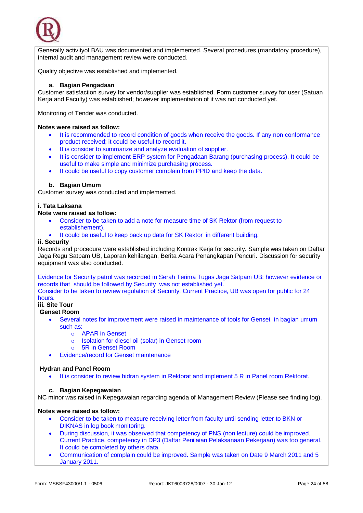

Generally activityof BAU was documented and implemented. Several procedures (mandatory procedure), internal audit and management review were conducted.

Quality objective was established and implemented.

#### **a. Bagian Pengadaan**

Customer satisfaction survey for vendor/supplier was established. Form customer survey for user (Satuan Kerja and Faculty) was established; however implementation of it was not conducted yet.

Monitoring of Tender was conducted.

#### **Notes were raised as follow:**

- It is recommended to record condition of goods when receive the goods. If any non conformance product received; it could be useful to record it.
- It is consider to summarize and analyze evaluation of supplier.
- It is consider to implement ERP system for Pengadaan Barang (purchasing process). It could be useful to make simple and minimize purchasing process.
- It could be useful to copy customer complain from PPID and keep the data.

#### **b. Bagian Umum**

Customer survey was conducted and implemented.

#### **i. Tata Laksana**

#### **Note were raised as follow:**

- Consider to be taken to add a note for measure time of SK Rektor (from request to establishement).
- It could be useful to keep back up data for SK Rektor in different building.

#### **ii. Security**

Records and procedure were established including Kontrak Kerja for security. Sample was taken on Daftar Jaga Regu Satpam UB, Laporan kehilangan, Berita Acara Penangkapan Pencuri. Discussion for security equipment was also conducted.

Evidence for Security patrol was recorded in Serah Terima Tugas Jaga Satpam UB; however evidence or records that should be followed by Security was not established yet.

Consider to be taken to review regulation of Security. Current Practice, UB was open for public for 24 hours.

#### **iii. Site Tour**

**Genset Room**

- Several notes for improvement were raised in maintenance of tools for Genset in bagian umum such as:
	- o APAR in Genset
	- o Isolation for diesel oil (solar) in Genset room
	- o 5R in Genset Room
- Evidence/record for Genset maintenance

#### **Hydran and Panel Room**

It is consider to review hidran system in Rektorat and implement 5 R in Panel room Rektorat.

#### **c. Bagian Kepegawaian**

NC minor was raised in Kepegawaian regarding agenda of Management Review (Please see finding log).

#### **Notes were raised as follow:**

- Consider to be taken to measure receiving letter from faculty until sending letter to BKN or DIKNAS in log book monitoring.
- During discussion, it was observed that competency of PNS (non lecture) could be improved. Current Practice, competency in DP3 (Daftar Penilaian Pelaksanaan Pekerjaan) was too general. It could be completed by others data.
- Communication of complain could be improved. Sample was taken on Date 9 March 2011 and 5 January 2011.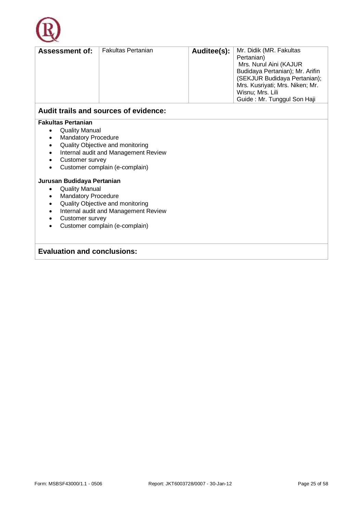

| <b>Assessment of:</b>      | <b>Fakultas Pertanian</b>             | Auditee(s): | Mr. Didik (MR. Fakultas         |
|----------------------------|---------------------------------------|-------------|---------------------------------|
|                            |                                       |             | Pertanian)                      |
|                            |                                       |             | Mrs. Nurul Aini (KAJUR          |
|                            |                                       |             | Budidaya Pertanian); Mr. Arifin |
|                            |                                       |             | (SEKJUR Budidaya Pertanian);    |
|                            |                                       |             | Mrs. Kusriyati; Mrs. Niken; Mr. |
|                            |                                       |             | Wisnu; Mrs. Lili                |
|                            |                                       |             | Guide: Mr. Tunggul Son Haji     |
|                            | Audit trails and sources of evidence: |             |                                 |
| <b>Fakultas Pertanian</b>  |                                       |             |                                 |
| <b>Quality Manual</b>      |                                       |             |                                 |
| <b>Mandatory Procedure</b> |                                       |             |                                 |
| ٠                          | Quality Objective and monitoring      |             |                                 |
| $\bullet$                  | Internal audit and Management Review  |             |                                 |
| Customer survey            |                                       |             |                                 |
|                            | Customer complain (e-complain)        |             |                                 |

#### **Jurusan Budidaya Pertanian**

- Quality Manual
- Mandatory Procedure
- Quality Objective and monitoring
- Internal audit and Management Review
- Customer survey
- Customer complain (e-complain)

#### **Evaluation and conclusions:**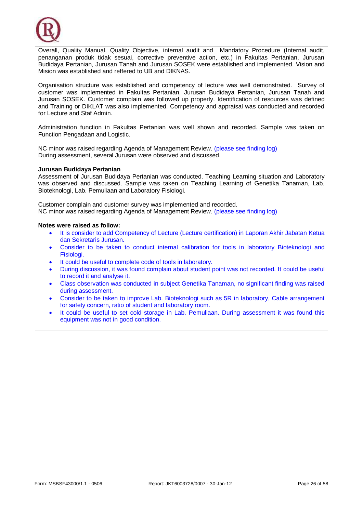

Overall, Quality Manual, Quality Objective, internal audit and Mandatory Procedure (Internal audit, penanganan produk tidak sesuai, corrective preventive action, etc.) in Fakultas Pertanian, Jurusan Budidaya Pertanian, Jurusan Tanah and Jurusan SOSEK were established and implemented. Vision and Mision was established and reffered to UB and DIKNAS.

Organisation structure was established and competency of lecture was well demonstrated. Survey of customer was implemented in Fakultas Pertanian, Jurusan Budidaya Pertanian, Jurusan Tanah and Jurusan SOSEK. Customer complain was followed up properly. Identification of resources was defined and Training or DIKLAT was also implemented. Competency and appraisal was conducted and recorded for Lecture and Staf Admin.

Administration function in Fakultas Pertanian was well shown and recorded. Sample was taken on Function Pengadaan and Logistic.

NC minor was raised regarding Agenda of Management Review. (please see finding log) During assessment, several Jurusan were observed and discussed.

#### **Jurusan Budidaya Pertanian**

Assessment of Jurusan Budidaya Pertanian was conducted. Teaching Learning situation and Laboratory was observed and discussed. Sample was taken on Teaching Learning of Genetika Tanaman, Lab. Bioteknologi, Lab. Pemuliaan and Laboratory Fisiologi.

Customer complain and customer survey was implemented and recorded. NC minor was raised regarding Agenda of Management Review. (please see finding log)

#### **Notes were raised as follow:**

- It is consider to add Competency of Lecture (Lecture certification) in Laporan Akhir Jabatan Ketua dan Sekretaris Jurusan.
- Consider to be taken to conduct internal calibration for tools in laboratory Bioteknologi and Fisiologi.
- It could be useful to complete code of tools in laboratory.
- During discussion, it was found complain about student point was not recorded. It could be useful to record it and analyse it.
- Class observation was conducted in subject Genetika Tanaman, no significant finding was raised during assessment.
- Consider to be taken to improve Lab. Bioteknologi such as 5R in laboratory, Cable arrangement for safety concern, ratio of student and laboratory room.
- It could be useful to set cold storage in Lab. Pemuliaan. During assessment it was found this equipment was not in good condition.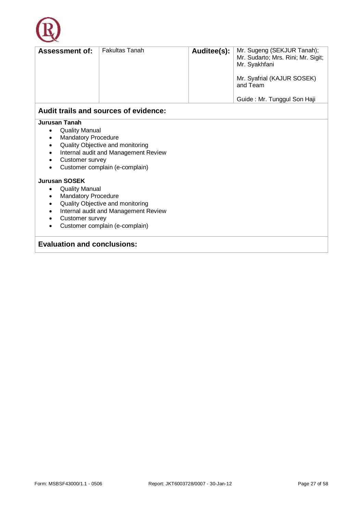

| <b>Assessment of:</b>           | <b>Fakultas Tanah</b>                 | Auditee(s): | Mr. Sugeng (SEKJUR Tanah);<br>Mr. Sudarto; Mrs. Rini; Mr. Sigit;<br>Mr. Syakhfani<br>Mr. Syafrial (KAJUR SOSEK)<br>and Team<br>Guide: Mr. Tunggul Son Haji |
|---------------------------------|---------------------------------------|-------------|------------------------------------------------------------------------------------------------------------------------------------------------------------|
|                                 |                                       |             |                                                                                                                                                            |
|                                 | Audit trails and sources of evidence: |             |                                                                                                                                                            |
| Jurusan Tanah                   |                                       |             |                                                                                                                                                            |
| <b>Quality Manual</b><br>٠      |                                       |             |                                                                                                                                                            |
| <b>Mandatory Procedure</b>      |                                       |             |                                                                                                                                                            |
| ٠                               | Quality Objective and monitoring      |             |                                                                                                                                                            |
| ٠                               | Internal audit and Management Review  |             |                                                                                                                                                            |
| Customer survey<br>٠            |                                       |             |                                                                                                                                                            |
| ٠                               | Customer complain (e-complain)        |             |                                                                                                                                                            |
|                                 |                                       |             |                                                                                                                                                            |
| <b>Jurusan SOSEK</b>            |                                       |             |                                                                                                                                                            |
| <b>Quality Manual</b><br>٠      |                                       |             |                                                                                                                                                            |
| <b>Mandatory Procedure</b><br>٠ |                                       |             |                                                                                                                                                            |
|                                 | Quality Objective and monitoring      |             |                                                                                                                                                            |

- Internal audit and Management Review
- Customer survey
- Customer complain (e-complain)

#### **Evaluation and conclusions:**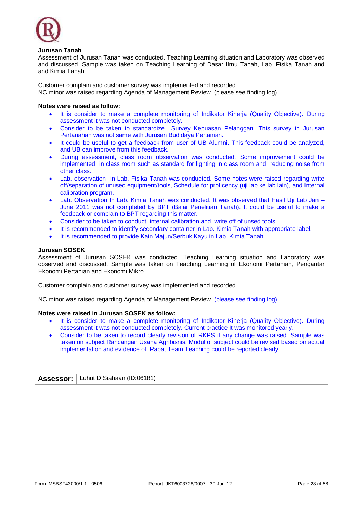

#### **Jurusan Tanah**

Assessment of Jurusan Tanah was conducted. Teaching Learning situation and Laboratory was observed and discussed. Sample was taken on Teaching Learning of Dasar Ilmu Tanah, Lab. Fisika Tanah and and Kimia Tanah.

Customer complain and customer survey was implemented and recorded. NC minor was raised regarding Agenda of Management Review. (please see finding log)

#### **Notes were raised as follow:**

- It is consider to make a complete monitoring of Indikator Kinerja (Quality Objective). During assessment it was not conducted completely.
- Consider to be taken to standardize Survey Kepuasan Pelanggan. This survey in Jurusan Pertanahan was not same with Jurusan Budidaya Pertanian.
- It could be useful to get a feedback from user of UB Alumni. This feedback could be analyzed, and UB can improve from this feedback.
- During assessment, class room observation was conducted. Some improvement could be implemented in class room such as standard for lighting in class room and reducing noise from other class.
- Lab. observation in Lab. Fisika Tanah was conducted. Some notes were raised regarding write off/separation of unused equipment/tools, Schedule for proficency (uji lab ke lab lain), and Internal calibration program.
- Lab. Observation In Lab. Kimia Tanah was conducted. It was observed that Hasil Uji Lab Jan June 2011 was not completed by BPT (Balai Penelitian Tanah). It could be useful to make a feedback or complain to BPT regarding this matter.
- Consider to be taken to conduct internal calibration and write off of unsed tools.
- It is recommended to identify secondary container in Lab. Kimia Tanah with appropriate label.
- It is recommended to provide Kain Majun/Serbuk Kayu in Lab. Kimia Tanah.

#### **Jurusan SOSEK**

Assessment of Jurusan SOSEK was conducted. Teaching Learning situation and Laboratory was observed and discussed. Sample was taken on Teaching Learning of Ekonomi Pertanian, Pengantar Ekonomi Pertanian and Ekonomi Mikro.

Customer complain and customer survey was implemented and recorded.

NC minor was raised regarding Agenda of Management Review. (please see finding log)

#### **Notes were raised in Jurusan SOSEK as follow:**

- It is consider to make a complete monitoring of Indikator Kinerja (Quality Objective). During assessment it was not conducted completely. Current practice It was monitored yearly.
- Consider to be taken to record clearly revision of RKPS if any change was raised. Sample was taken on subject Rancangan Usaha Agribisnis. Modul of subject could be revised based on actual implementation and evidence of Rapat Team Teaching could be reported clearly.

|  | <b>Assessor:</b>   Luhut D Siahaan (ID:06181) |  |
|--|-----------------------------------------------|--|
|--|-----------------------------------------------|--|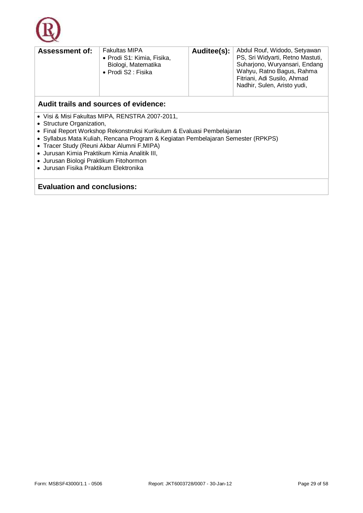

| <b>Assessment of:</b>                 | <b>Fakultas MIPA</b><br>• Prodi S1: Kimia, Fisika,<br>Biologi, Matematika<br>• Prodi S2 : Fisika | Auditee(s): | Abdul Rouf, Widodo, Setyawan<br>PS, Sri Widyarti, Retno Mastuti,<br>Suharjono, Wuryansari, Endang<br>Wahyu, Ratno Bagus, Rahma<br>Fitriani, Adi Susilo, Ahmad<br>Nadhir, Sulen, Aristo yudi, |  |  |  |  |
|---------------------------------------|--------------------------------------------------------------------------------------------------|-------------|----------------------------------------------------------------------------------------------------------------------------------------------------------------------------------------------|--|--|--|--|
| Audit trails and sources of evidence: |                                                                                                  |             |                                                                                                                                                                                              |  |  |  |  |

- Visi & Misi Fakultas MIPA, RENSTRA 2007-2011,
- Structure Organization,
- Final Report Workshop Rekonstruksi Kurikulum & Evaluasi Pembelajaran
- Syllabus Mata Kuliah, Rencana Program & Kegiatan Pembelajaran Semester (RPKPS)
- Tracer Study (Reuni Akbar Alumni F.MIPA)
- Jurusan Kimia Praktikum Kimia Analitik III,
- Jurusan Biologi Praktikum Fitohormon
- Jurusan Fisika Praktikum Elektronika

#### **Evaluation and conclusions:**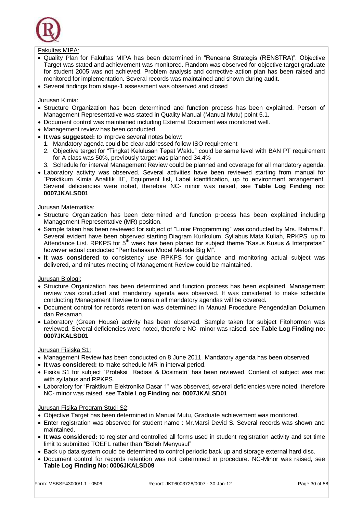

#### Fakultas MIPA:

- Quality Plan for Fakultas MIPA has been determined in "Rencana Strategis (RENSTRA)". Objective Target was stated and achievement was monitored. Random was observed for objective target graduate for student 2005 was not achieved. Problem analysis and corrective action plan has been raised and monitored for implementation. Several records was maintained and shown during audit.
- Several findings from stage-1 assessment was observed and closed

#### Jurusan Kimia:

- Structure Organization has been determined and function process has been explained. Person of Management Representative was stated in Quality Manual (Manual Mutu) point 5.1.
- Document control was maintained including External Document was monitored well.
- Management review has been conducted.
- **It was suggested:** to improve several notes below:
- 1. Mandatory agenda could be clear addressed follow ISO requirement
- 2. Objective target for "Tingkat Kelulusan Tepat Waktu" could be same level with BAN PT requirement for A class was 50%, previously target was planned 34,4%
- 3. Schedule for interval Management Review could be planned and coverage for all mandatory agenda.
- Laboratory activity was observed. Several activities have been reviewed starting from manual for "Praktikum Kimia Analitik III", Equipment list, Label identification, up to environment arrangement. Several deficiencies were noted, therefore NC- minor was raised, see **Table Log Finding no: 0007JKALSD01**

#### Jurusan Matematika:

- Structure Organization has been determined and function process has been explained including Management Representative (MR) position.
- Sample taken has been reviewed for subject of "Linier Programming" was conducted by Mrs. Rahma.F. Several evident have been observed starting Diagram Kurikulum, Syllabus Mata Kuliah, RPKPS, up to Attendance List. RPKPS for 5<sup>th</sup> week has been planed for subject theme "Kasus Kusus & Interpretasi" however actual conducted "Pembahasan Model Metode Big M".
- **It was considered** to consistency use RPKPS for guidance and monitoring actual subject was delivered, and minutes meeting of Management Review could be maintained.

#### Jurusan Biologi:

- Structure Organization has been determined and function process has been explained. Management review was conducted and mandatory agenda was observed. It was considered to make schedule conducting Management Review to remain all mandatory agendas will be covered.
- Document control for records retention was determined in Manual Procedure Pengendalian Dokumen dan Rekaman.
- Laboratory (Green House) activity has been observed. Sample taken for subject Fitohormon was reviewed. Several deficiencies were noted, therefore NC- minor was raised, see **Table Log Finding no: 0007JKALSD01**

#### Jurusan Fisiska S1:

- Management Review has been conducted on 8 June 2011. Mandatory agenda has been observed.
- **It was considered:** to make schedule MR in interval period.
- Fisika S1 for subject "Proteksi Radiasi & Dosimetri" has been reviewed. Content of subject was met with syllabus and RPKPS.
- Laboratory for "Praktikum Elektronika Dasar 1" was observed, several deficiencies were noted, therefore NC- minor was raised, see **Table Log Finding no: 0007JKALSD01**

#### Jurusan Fisika Program Studi S2:

- Objective Target has been determined in Manual Mutu, Graduate achievement was monitored.
- Enter registration was observed for student name : Mr.Marsi Devid S. Several records was shown and maintained.
- **It was considered:** to register and controlled all forms used in student registration activity and set time limit to submitted TOEFL rather than "Boleh Menyusul"
- Back up data system could be determined to control periodic back up and storage external hard disc.
- Document control for records retention was not determined in procedure. NC-Minor was raised, see **Table Log Finding No: 0006JKALSD09**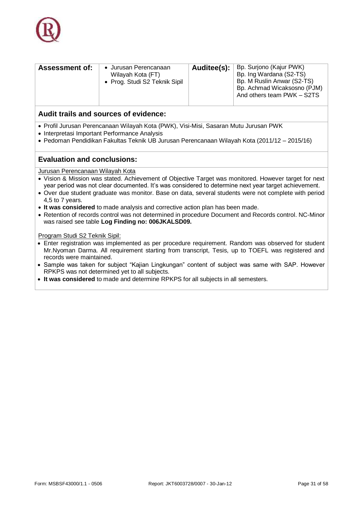

| Bp. Ing Wardana (S2-TS)<br>Wilayah Kota (FT)<br>Bp. M Ruslin Anwar (S2-TS)<br>• Prog. Studi S2 Teknik Sipil | <b>Assessment of:</b> | • Jurusan Perencanaan | Auditee(s): | Bp. Surjono (Kajur PWK)<br>Bp. Achmad Wicaksosno (PJM)<br>And others team PWK - S2TS |
|-------------------------------------------------------------------------------------------------------------|-----------------------|-----------------------|-------------|--------------------------------------------------------------------------------------|
|-------------------------------------------------------------------------------------------------------------|-----------------------|-----------------------|-------------|--------------------------------------------------------------------------------------|

- Profil Jurusan Perencanaan Wilayah Kota (PWK), Visi-Misi, Sasaran Mutu Jurusan PWK
- Interpretasi Important Performance Analysis
- Pedoman Pendidikan Fakultas Teknik UB Jurusan Perencanaan Wilayah Kota (2011/12 2015/16)

#### **Evaluation and conclusions:**

Jurusan Perencanaan Wilayah Kota

- Vision & Mission was stated. Achievement of Objective Target was monitored. However target for next year period was not clear documented. It's was considered to determine next year target achievement.
- Over due student graduate was monitor. Base on data, several students were not complete with period 4,5 to 7 years.
- **It was considered** to made analysis and corrective action plan has been made.
- Retention of records control was not determined in procedure Document and Records control. NC-Minor was raised see table **Log Finding no: 006JKALSD09.**

Program Studi S2 Teknik Sipil:

- Enter registration was implemented as per procedure requirement. Random was observed for student Mr.Nyoman Darma. All requirement starting from transcript, Tesis, up to TOEFL was registered and records were maintained.
- Sample was taken for subject "Kajian Lingkungan" content of subject was same with SAP. However RPKPS was not determined yet to all subjects.
- **It was considered** to made and determine RPKPS for all subjects in all semesters.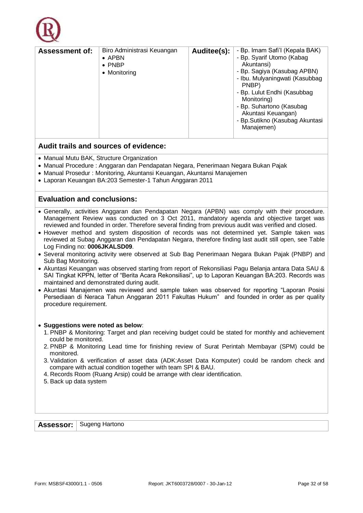

| Biro Administrasi Keuangan<br>Auditee(s):<br><b>Assessment of:</b> | - Bp. Imam Safi'l (Kepala BAK)  |
|--------------------------------------------------------------------|---------------------------------|
| $\bullet$ APBN                                                     | - Bp. Syarif Utomo (Kabag       |
| Akuntansi)                                                         | - Bp. Sagiya (Kasubag APBN)     |
| $\bullet$ PNBP                                                     | - Ibu. Mulyaningwati (Kasubbag  |
| • Monitoring                                                       | - Bp. Lulut Endhi (Kasubbag     |
| PNBP)                                                              | - Bp. Suhartono (Kasubag        |
| Monitoring)                                                        | Akuntasi Keuangan)              |
| Manajemen)                                                         | - Bp. Sutikno (Kasubag Akuntasi |

- Manual Mutu BAK, Structure Organization
- Manual Procedure : Anggaran dan Pendapatan Negara, Penerimaan Negara Bukan Pajak
- Manual Prosedur : Monitoring, Akuntansi Keuangan, Akuntansi Manajemen
- Laporan Keuangan BA:203 Semester-1 Tahun Anggaran 2011

#### **Evaluation and conclusions:**

- Generally, activities Anggaran dan Pendapatan Negara (APBN) was comply with their procedure. Management Review was conducted on 3 Oct 2011, mandatory agenda and objective target was reviewed and founded in order. Therefore several finding from previous audit was verified and closed.
- However method and system disposition of records was not determined vet. Sample taken was reviewed at Subag Anggaran dan Pendapatan Negara, therefore finding last audit still open, see Table Log Finding no: **0006JKALSD09**.
- Several monitoring activity were observed at Sub Bag Penerimaan Negara Bukan Pajak (PNBP) and Sub Bag Monitoring.
- Akuntasi Keuangan was observed starting from report of Rekonsiliasi Pagu Belanja antara Data SAU & SAI Tingkat KPPN, letter of "Berita Acara Rekonsiliasi", up to Laporan Keuangan BA:203. Records was maintained and demonstrated during audit.
- Akuntasi Manajemen was reviewed and sample taken was observed for reporting "Laporan Posisi Persediaan di Neraca Tahun Anggaran 2011 Fakultas Hukum" and founded in order as per quality procedure requirement.

#### **Suggestions were noted as below**:

- 1. PNBP & Monitoring: Target and plan receiving budget could be stated for monthly and achievement could be monitored.
- 2. PNBP & Monitoring Lead time for finishing review of Surat Perintah Membayar (SPM) could be monitored.
- 3. Validation & verification of asset data (ADK:Asset Data Komputer) could be random check and compare with actual condition together with team SPI & BAU.
- 4. Records Room (Ruang Arsip) could be arrange with clear identification.
- 5. Back up data system

Assessor: Sugeng Hartono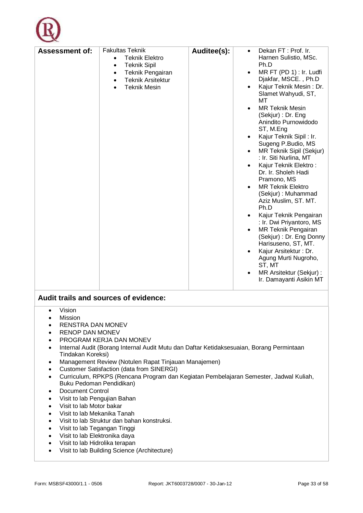

- Vision
- Mission
- **RENSTRA DAN MONEV**
- RENOP DAN MONEV
- PROGRAM KERJA DAN MONEV
- Internal Audit (Borang Internal Audit Mutu dan Daftar Ketidaksesuaian, Borang Permintaan Tindakan Koreksi)
- Management Review (Notulen Rapat Tinjauan Manajemen)
- Customer Satisfaction (data from SINERGI)
- Curriculum, RPKPS (Rencana Program dan Kegiatan Pembelajaran Semester, Jadwal Kuliah, Buku Pedoman Pendidikan)
- Document Control
- Visit to lab Pengujian Bahan
- Visit to lab Motor bakar
- Visit to lab Mekanika Tanah
- Visit to lab Struktur dan bahan konstruksi.
- Visit to lab Tegangan Tinggi
- Visit to lab Elektronika daya
- Visit to lab Hidrolika terapan
- Visit to lab Building Science (Architecture)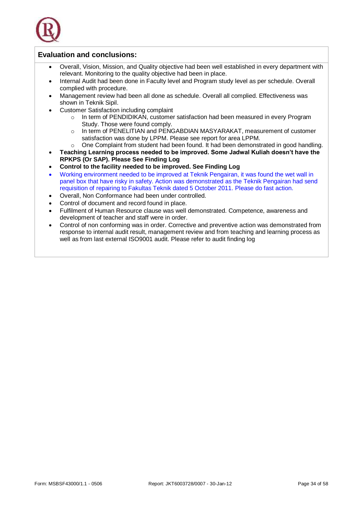

#### **Evaluation and conclusions:**

- Overall, Vision, Mission, and Quality objective had been well established in every department with relevant. Monitoring to the quality objective had been in place.
- Internal Audit had been done in Faculty level and Program study level as per schedule. Overall complied with procedure.
- Management review had been all done as schedule. Overall all complied. Effectiveness was shown in Teknik Sipil.
- Customer Satisfaction including complaint
	- o In term of PENDIDIKAN, customer satisfaction had been measured in every Program Study. Those were found comply.
	- o In term of PENELITIAN and PENGABDIAN MASYARAKAT, measurement of customer satisfaction was done by LPPM. Please see report for area LPPM.
	- $\circ$  One Complaint from student had been found. It had been demonstrated in good handling.
- **Teaching Learning process needed to be improved. Some Jadwal Kuliah doesn't have the RPKPS (Or SAP). Please See Finding Log**
- **Control to the facility needed to be improved. See Finding Log**
- Working environment needed to be improved at Teknik Pengairan, it was found the wet wall in panel box that have risky in safety. Action was demonstrated as the Teknik Pengairan had send requisition of repairing to Fakultas Teknik dated 5 October 2011. Please do fast action.
- Overall, Non Conformance had been under controlled.
- Control of document and record found in place.
- Fulfilment of Human Resource clause was well demonstrated. Competence, awareness and development of teacher and staff were in order.
- Control of non conforming was in order. Corrective and preventive action was demonstrated from response to internal audit result, management review and from teaching and learning process as well as from last external ISO9001 audit. Please refer to audit finding log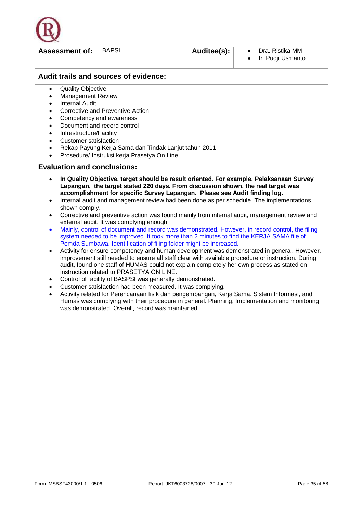

| <b>Assessment of:</b>                     | <b>BAPSI</b>                                                                                                                                                                                                                                                                                                                              | Auditee(s):                                                                                                                                                    | Dra. Ristika MM<br>$\bullet$<br>Ir. Pudji Usmanto<br>$\bullet$                                                                                                                             |  |  |  |
|-------------------------------------------|-------------------------------------------------------------------------------------------------------------------------------------------------------------------------------------------------------------------------------------------------------------------------------------------------------------------------------------------|----------------------------------------------------------------------------------------------------------------------------------------------------------------|--------------------------------------------------------------------------------------------------------------------------------------------------------------------------------------------|--|--|--|
|                                           | Audit trails and sources of evidence:                                                                                                                                                                                                                                                                                                     |                                                                                                                                                                |                                                                                                                                                                                            |  |  |  |
| <b>Quality Objective</b><br>$\bullet$     |                                                                                                                                                                                                                                                                                                                                           |                                                                                                                                                                |                                                                                                                                                                                            |  |  |  |
| <b>Management Review</b><br>$\bullet$     |                                                                                                                                                                                                                                                                                                                                           |                                                                                                                                                                |                                                                                                                                                                                            |  |  |  |
| <b>Internal Audit</b><br>$\bullet$        |                                                                                                                                                                                                                                                                                                                                           |                                                                                                                                                                |                                                                                                                                                                                            |  |  |  |
| $\bullet$                                 | <b>Corrective and Preventive Action</b>                                                                                                                                                                                                                                                                                                   |                                                                                                                                                                |                                                                                                                                                                                            |  |  |  |
| $\bullet$                                 | Competency and awareness                                                                                                                                                                                                                                                                                                                  |                                                                                                                                                                |                                                                                                                                                                                            |  |  |  |
| $\bullet$                                 | Document and record control                                                                                                                                                                                                                                                                                                               |                                                                                                                                                                |                                                                                                                                                                                            |  |  |  |
| Infrastructure/Facility<br>$\bullet$      |                                                                                                                                                                                                                                                                                                                                           |                                                                                                                                                                |                                                                                                                                                                                            |  |  |  |
| <b>Customer satisfaction</b><br>$\bullet$ |                                                                                                                                                                                                                                                                                                                                           |                                                                                                                                                                |                                                                                                                                                                                            |  |  |  |
| $\bullet$                                 | Rekap Payung Kerja Sama dan Tindak Lanjut tahun 2011                                                                                                                                                                                                                                                                                      |                                                                                                                                                                |                                                                                                                                                                                            |  |  |  |
|                                           | Prosedure/ Instruksi kerja Prasetya On Line                                                                                                                                                                                                                                                                                               |                                                                                                                                                                |                                                                                                                                                                                            |  |  |  |
| <b>Evaluation and conclusions:</b>        |                                                                                                                                                                                                                                                                                                                                           |                                                                                                                                                                |                                                                                                                                                                                            |  |  |  |
| $\bullet$                                 |                                                                                                                                                                                                                                                                                                                                           | Lapangan, the target stated 220 days. From discussion shown, the real target was<br>accomplishment for specific Survey Lapangan. Please see Audit finding log. | In Quality Objective, target should be result oriented. For example, Pelaksanaan Survey                                                                                                    |  |  |  |
| $\bullet$<br>shown comply.                |                                                                                                                                                                                                                                                                                                                                           |                                                                                                                                                                | Internal audit and management review had been done as per schedule. The implementations                                                                                                    |  |  |  |
| $\bullet$                                 | external audit. It was complying enough.                                                                                                                                                                                                                                                                                                  |                                                                                                                                                                | Corrective and preventive action was found mainly from internal audit, management review and                                                                                               |  |  |  |
| $\bullet$                                 |                                                                                                                                                                                                                                                                                                                                           | system needed to be improved. It took more than 2 minutes to find the KERJA SAMA file of<br>Pemda Sumbawa. Identification of filing folder might be increased. | Mainly, control of document and record was demonstrated. However, in record control, the filing                                                                                            |  |  |  |
| $\bullet$                                 | Activity for ensure competency and human development was demonstrated in general. However,<br>improvement still needed to ensure all staff clear with available procedure or instruction. During<br>audit, found one staff of HUMAS could not explain completely her own process as stated on<br>instruction related to PRASETYA ON LINE. |                                                                                                                                                                |                                                                                                                                                                                            |  |  |  |
| ٠                                         | Control of facility of BASPSI was generally demonstrated.                                                                                                                                                                                                                                                                                 |                                                                                                                                                                |                                                                                                                                                                                            |  |  |  |
| $\bullet$                                 |                                                                                                                                                                                                                                                                                                                                           | Customer satisfaction had been measured. It was complying.                                                                                                     |                                                                                                                                                                                            |  |  |  |
| $\bullet$                                 | was demonstrated. Overall, record was maintained.                                                                                                                                                                                                                                                                                         |                                                                                                                                                                | Activity related for Perencanaan fisik dan pengembangan, Kerja Sama, Sistem Informasi, and<br>Humas was complying with their procedure in general. Planning, Implementation and monitoring |  |  |  |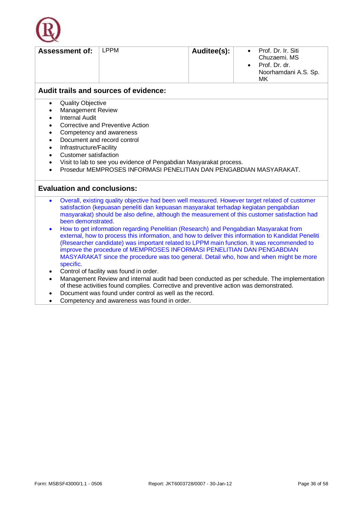

| <b>Assessment of:</b>                 | LPPM | Auditee(s): | $\bullet$<br>$\bullet$ | Prof. Dr. Ir. Siti<br>Chuzaemi, MS<br>Prof. Dr. dr.<br>Noorhamdani A.S. Sp.<br>МK |  |  |  |
|---------------------------------------|------|-------------|------------------------|-----------------------------------------------------------------------------------|--|--|--|
| Audit trails and sources of evidence: |      |             |                        |                                                                                   |  |  |  |

- Quality Objective
- Management Review
- Internal Audit
- Corrective and Preventive Action
- Competency and awareness
- Document and record control
- Infrastructure/Facility
- Customer satisfaction
- Visit to lab to see you evidence of Pengabdian Masyarakat process.
- Prosedur MEMPROSES INFORMASI PENELITIAN DAN PENGABDIAN MASYARAKAT.

#### **Evaluation and conclusions:**

- Overall, existing quality objective had been well measured. However target related of customer satisfaction (kepuasan peneliti dan kepuasan masyarakat terhadap kegiatan pengabdian masyarakat) should be also define, although the measurement of this customer satisfaction had been demonstrated.
- How to get information regarding Penelitian (Research) and Pengabdian Masyarakat from external, how to process this information, and how to deliver this information to Kandidat Peneliti (Researcher candidate) was important related to LPPM main function. It was recommended to improve the procedure of MEMPROSES INFORMASI PENELITIAN DAN PENGABDIAN MASYARAKAT since the procedure was too general. Detail who, how and when might be more specific.
- Control of facility was found in order.
- Management Review and internal audit had been conducted as per schedule. The implementation of these activities found complies. Corrective and preventive action was demonstrated.
- Document was found under control as well as the record.
- Competency and awareness was found in order.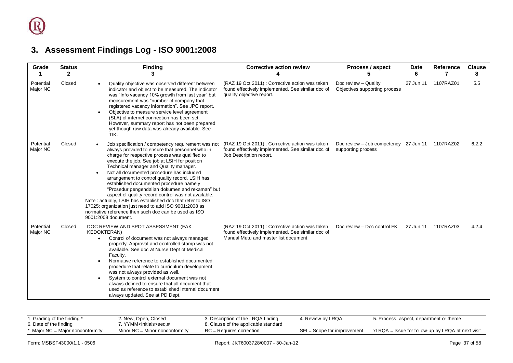### **3. Assessment Findings Log - ISO 9001:2008**

| Grade                 | <b>Status</b><br>$\mathbf{2}$ | <b>Finding</b><br>3                                                                                                                                                                                                                                                                                                                                                                                                                                                                                                                                                                                                                                                                                           | <b>Corrective action review</b>                                                                                                              | Process / aspect                                                      | <b>Date</b><br>6 | <b>Reference</b><br>7 | <b>Clause</b><br>8 |
|-----------------------|-------------------------------|---------------------------------------------------------------------------------------------------------------------------------------------------------------------------------------------------------------------------------------------------------------------------------------------------------------------------------------------------------------------------------------------------------------------------------------------------------------------------------------------------------------------------------------------------------------------------------------------------------------------------------------------------------------------------------------------------------------|----------------------------------------------------------------------------------------------------------------------------------------------|-----------------------------------------------------------------------|------------------|-----------------------|--------------------|
| Potential<br>Major NC | Closed                        | Quality objective was observed different between<br>indicator and object to be measured. The indicator<br>was "Info vacancy 10% growth from last year" but<br>measurement was "number of company that<br>registered vacancy information". See JPC report.<br>Objective to measure service level agreement<br>(SLA) of internet connection has been set.<br>However, summary report has not been prepared<br>yet though raw data was already available. See<br>TIK.                                                                                                                                                                                                                                            | (RAZ 19 Oct 2011): Corrective action was taken<br>found effectively implemented. See similar doc of<br>quality objective report.             | Doc review - Quality<br>Objectives supporting process                 | 27 Jun 11        | 1107RAZ01             | 5.5                |
| Potential<br>Major NC | Closed                        | Job specification / competency requirement was not<br>always provided to ensure that personnel who in<br>charge for respective process was qualified to<br>execute the job. See job at LSIH for position<br>Technical manager and Quality manager.<br>Not all documented procedure has included<br>arrangement to control quality record. LSIH has<br>established documented procedure namely<br>"Prosedur pengendalian dokumen and rekaman" but<br>aspect of quality record control was not available.<br>Note: actually, LSIH has established doc that refer to ISO<br>17025; organization just need to add ISO 9001:2008 as<br>normative reference then such doc can be used as ISO<br>9001:2008 document. | (RAZ 19 Oct 2011): Corrective action was taken<br>found effectively implemented. See similar doc of<br>Job Description report.               | Doc review - Job competency 27 Jun 11 1107RAZ02<br>supporting process |                  |                       | 6.2.2              |
| Potential<br>Major NC | Closed                        | DOC REVIEW AND SPOT ASSESSMENT (FAK<br><b>KEDOKTERAN)</b><br>Control of document was not always managed<br>properly. Approval and controlled stamp was not<br>available. See doc at Nurse Dept of Medical<br>Facultv.<br>Normative reference to established documented<br>procedure that relate to curriculum development<br>was not always provided as well.<br>System to control external document was not<br>always defined to ensure that all document that<br>used as reference to established internal document<br>always updated. See at PD Dept.                                                                                                                                                      | (RAZ 19 Oct 2011): Corrective action was taken<br>found effectively implemented. See similar doc of<br>Manual Mutu and master list document. | Doc review - Doc control FK                                           |                  | 27 Jun 11  1107RAZ03  | 4.2.4              |

<span id="page-36-0"></span>

| 1. Grading of the finding *<br>6. Date of the finding | 2. New, Open, Closed<br>'YYMM <lnitials>seɑ.#_</lnitials> | 3. Description of the LRQA finding<br>8. Clause of the applicable standard | 4. Review by LRQA           | 5. Process, aspect, department or theme           |
|-------------------------------------------------------|-----------------------------------------------------------|----------------------------------------------------------------------------|-----------------------------|---------------------------------------------------|
| Major NC = Major nonconformity                        | Minor $NC =$ Minor nonconformity                          | $RC = Requires correction$                                                 | SFI = Scope for improvement | xLRQA = Issue for follow-up by LRQA at next visit |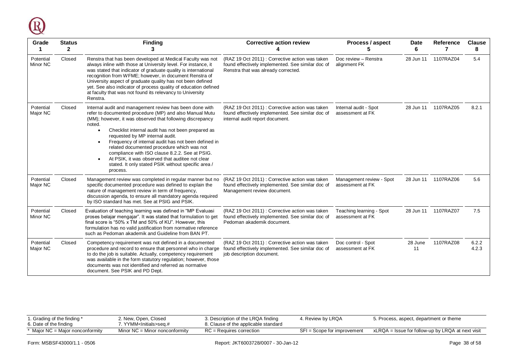

| Grade<br>1            | <b>Status</b><br>$\mathbf{2}$ | <b>Finding</b><br>3                                                                                                                                                                                                                                                                                                                                                                                                                                                                                                                                            | <b>Corrective action review</b>                                                                                                            | Process / aspect<br>5                        | Date<br>6     | Reference<br>7       | <b>Clause</b><br>8 |
|-----------------------|-------------------------------|----------------------------------------------------------------------------------------------------------------------------------------------------------------------------------------------------------------------------------------------------------------------------------------------------------------------------------------------------------------------------------------------------------------------------------------------------------------------------------------------------------------------------------------------------------------|--------------------------------------------------------------------------------------------------------------------------------------------|----------------------------------------------|---------------|----------------------|--------------------|
| Potential<br>Minor NC | Closed                        | Renstra that has been developed at Medical Faculty was not<br>always inline with those at University level. For instance, it<br>was stated that indicator of graduate quality is international<br>recognition from WFME; however, in document Renstra of<br>University aspect of graduate quality has not been defined<br>yet. See also indicator of process quality of education defined<br>at faculty that was not found its relevancy to University<br>Renstra.                                                                                             | (RAZ 19 Oct 2011): Corrective action was taken<br>found effectively implemented. See similar doc of<br>Renstra that was already corrected. | Doc review - Renstra<br>alignment FK         | 28 Jun 11     | 1107RAZ04            | 5.4                |
| Potential<br>Major NC | Closed                        | Internal audit and management review has been done with<br>refer to documented procedure (MP) and also Manual Mutu<br>(MM); however, it was observed that following discrepancy<br>noted.<br>Checklist internal audit has not been prepared as<br>requested by MP internal audit.<br>Frequency of internal audit has not been defined in<br>related documented procedure which was not<br>compliance with ISO clause 8.2.2. See at PSIG.<br>At PSIK, it was observed that auditee not clear<br>stated. It only stated PSIK without specific area /<br>process. | (RAZ 19 Oct 2011): Corrective action was taken<br>found effectively implemented. See similar doc of<br>internal audit report document.     | Internal audit - Spot<br>assessment at FK    | 28 Jun 11     | 1107RAZ05            | 8.2.1              |
| Potential<br>Major NC | Closed                        | Management review was completed in regular manner but no<br>specific documented procedure was defined to explain the<br>nature of management review in term of frequency,<br>discussion agenda, to ensure all mandatory agenda required<br>by ISO standard has met. See at PSIG and PSIK.                                                                                                                                                                                                                                                                      | (RAZ 19 Oct 2011): Corrective action was taken<br>found effectively implemented. See similar doc of<br>Management review document.         | Management review - Spot<br>assessment at FK |               | 28 Jun 11  1107RAZ06 | 5.6                |
| Potential<br>Minor NC | Closed                        | Evaluation of teaching learning was defined in "MP Evaluasi<br>proses belajar mengajar". It was stated that formulation to get<br>final score is "50% x TM and 50% of KU". However, this<br>formulation has no valid justification from normative reference<br>such as Pedoman akademik and Guideline from BAN PT.                                                                                                                                                                                                                                             | (RAZ 19 Oct 2011): Corrective action was taken<br>found effectively implemented. See similar doc of<br>Pedoman akademik document.          | Teaching learning - Spot<br>assessment at FK |               | 28 Jun 11  1107RAZ07 | 7.5                |
| Potential<br>Major NC | Closed                        | Competency requirement was not defined in a documented<br>procedure and record to ensure that personnel who in charge<br>to do the job is suitable. Actually, competency requirement<br>was available in the form statutory regulation; however, those<br>documents was not identified and referred as normative<br>document. See PSIK and PD Dept.                                                                                                                                                                                                            | (RAZ 19 Oct 2011) : Corrective action was taken<br>found effectively implemented. See similar doc of<br>job description document.          | Doc control - Spot<br>assessment at FK       | 28 June<br>11 | 1107RAZ08            | 6.2.2<br>4.2.3     |

| I. Grading of the finding *<br>6. Date of the finding | 2. New, Open, Closed<br>7. YYMM <initials>seq.#</initials> | 3. Description of the LRQA finding<br>8. Clause of the applicable standard | 4. Review by LRQA           | 5. Process, aspect, department or theme           |
|-------------------------------------------------------|------------------------------------------------------------|----------------------------------------------------------------------------|-----------------------------|---------------------------------------------------|
| * Major NC = Major nonconformity                      | Minor $NC =$ Minor nonconformity                           | $RC =$ Requires correction                                                 | SFI = Scope for improvement | xLRQA = Issue for follow-up by LRQA at next visit |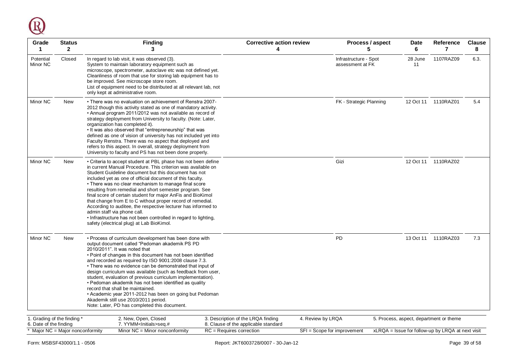

| Grade<br>1                                            | <b>Status</b><br>$\overline{2}$ | <b>Finding</b><br>3                                                                                                                                                                                                                                                                                                                                                                                                                                                                                                                                                                                                                                                                                                | <b>Corrective action review</b><br>4                                       |                                           | Process / aspect<br>5 | <b>Date</b><br>6 | Reference<br>7                                      | <b>Clause</b><br>8 |
|-------------------------------------------------------|---------------------------------|--------------------------------------------------------------------------------------------------------------------------------------------------------------------------------------------------------------------------------------------------------------------------------------------------------------------------------------------------------------------------------------------------------------------------------------------------------------------------------------------------------------------------------------------------------------------------------------------------------------------------------------------------------------------------------------------------------------------|----------------------------------------------------------------------------|-------------------------------------------|-----------------------|------------------|-----------------------------------------------------|--------------------|
| Potential<br>Minor NC                                 | Closed                          | In regard to lab visit, it was observed (3).<br>System to maintain laboratory equipment such as<br>microscope, spectrometer, autoclave etc was not defined yet.<br>Cleanliness of room that use for storing lab equipment has to<br>be improved. See microscope store room.<br>List of equipment need to be distributed at all relevant lab, not<br>only kept at administrative room.                                                                                                                                                                                                                                                                                                                              |                                                                            | Infrastructure - Spot<br>assessment at FK |                       | 28 June<br>11    | 1107RAZ09                                           | 6.3.               |
| Minor NC                                              | <b>New</b>                      | • There was no evaluation on achievement of Renstra 2007-<br>2012 though this activity stated as one of mandatory activity.<br>• Annual program 2011/2012 was not available as record of<br>strategy deployment from University to faculty. (Note: Later,<br>organization has completed it).<br>. It was also observed that "entrepreneurship" that was<br>defined as one of vision of university has not included yet into<br>Faculty Renstra. There was no aspect that deployed and<br>refers to this aspect. In overall, strategy deployment from<br>University to faculty and PS has not been done properly.                                                                                                   |                                                                            | FK - Strategic Planning                   |                       | 12 Oct 11        | 1110RAZ01                                           | 5.4                |
| Minor NC                                              | <b>New</b>                      | • Criteria to accept student at PBL phase has not been define<br>in current Manual Procedure. This criterion was available on<br>Student Guideline document but this document has not<br>included yet as one of official document of this faculty.<br>• There was no clear mechanism to manage final score<br>resulting from remedial and short semester program. See<br>final score of certain student for major AnFis and BioKimol<br>that change from E to C without proper record of remedial.<br>According to auditee, the respective lecturer has informed to<br>admin staff via phone call.<br>. Infrastructure has not been controlled in regard to lighting,<br>safety (electrical plug) at Lab BioKimol. |                                                                            | Gizi                                      |                       |                  | 12 Oct 11  1110RAZ02                                |                    |
| Minor NC                                              | <b>New</b>                      | • Process of curriculum development has been done with<br>output document called "Pedoman akademik PS PD<br>2010/2011". It was noted that<br>• Point of changes in this document has not been identified<br>and recorded as required by ISO 9001:2008 clause 7.3.<br>• There was no evidence can be demonstrated that input of<br>design curriculum was available (such as feedback from user,<br>student, evaluation of previous curriculum implementation).<br>• Pedoman akademik has not been identified as quality<br>record that shall be maintained.<br>• Academic year 2011-2012 has been on going but Pedoman<br>Akademik still use 2010/2011 period.<br>Note: Later, PD has completed this document.      |                                                                            | <b>PD</b>                                 |                       |                  | 13 Oct 11 1110RAZ03                                 | 7.3                |
| 1. Grading of the finding *<br>6. Date of the finding |                                 | 2. New, Open, Closed<br>7. YYMM <lnitials>seq.#</lnitials>                                                                                                                                                                                                                                                                                                                                                                                                                                                                                                                                                                                                                                                         | 3. Description of the LRQA finding<br>8. Clause of the applicable standard | 4. Review by LRQA                         |                       |                  | 5. Process, aspect, department or theme             |                    |
| * Major NC = Major nonconformity                      |                                 | Minor NC = Minor nonconformity                                                                                                                                                                                                                                                                                                                                                                                                                                                                                                                                                                                                                                                                                     | $RC = Requires correction$                                                 | $SFI = Score for improvement$             |                       |                  | $xLRQA =$ Issue for follow-up by LRQA at next visit |                    |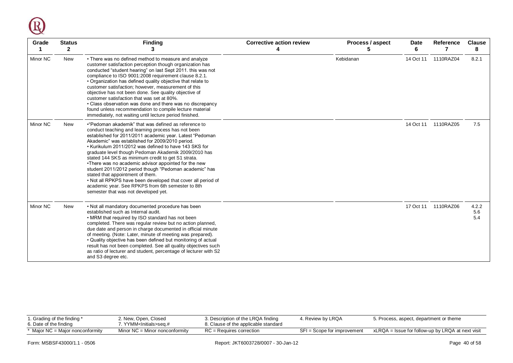

| Grade    | <b>Status</b><br>$\mathbf{2}$ | <b>Finding</b>                                                                                                                                                                                                                                                                                                                                                                                                                                                                                                                                                                                                                                                                                                       | <b>Corrective action review</b><br>4 | Process / aspect<br>5 | <b>Date</b><br>6 | Reference<br>7      | <b>Clause</b><br>8  |
|----------|-------------------------------|----------------------------------------------------------------------------------------------------------------------------------------------------------------------------------------------------------------------------------------------------------------------------------------------------------------------------------------------------------------------------------------------------------------------------------------------------------------------------------------------------------------------------------------------------------------------------------------------------------------------------------------------------------------------------------------------------------------------|--------------------------------------|-----------------------|------------------|---------------------|---------------------|
| Minor NC | <b>New</b>                    | • There was no defined method to measure and analyze<br>customer satisfaction perception though organization has<br>conducted "student hearing" on last Sept 2011. this was not<br>compliance to ISO 9001:2008 requirement clause 8.2.1.<br>• Organization has defined quality objective that relate to<br>customer satisfaction; however, measurement of this<br>objective has not been done. See quality objective of<br>customer satisfaction that was set at 80%.<br>• Class observation was done and there was no discrepancy<br>found unless recommendation to compile lecture material<br>immediately, not waiting until lecture period finished.                                                             |                                      | Kebidanan             | 14 Oct 11        | 1110RAZ04           | 8.2.1               |
| Minor NC | New                           | • "Pedoman akademik" that was defined as reference to<br>conduct teaching and learning process has not been<br>established for 2011/2011 academic year. Latest "Pedoman<br>Akademic" was established for 2009/2010 period.<br>• Kurikulum 2011/2012 was defined to have 143 SKS for<br>graduate level though Pedoman Akademik 2009/2010 has<br>stated 144 SKS as minimum credit to get S1 strata.<br>•There was no academic advisor appointed for the new<br>student 2011/2012 period though "Pedoman academic" has<br>stated that appointment of them.<br>. Not all RPKPS have been developed that cover all period of<br>academic year. See RPKPS from 6th semester to 8th<br>semester that was not developed yet. |                                      |                       |                  | 14 Oct 11 1110RAZ05 | 7.5                 |
| Minor NC | <b>New</b>                    | . Not all mandatory documented procedure has been<br>established such as Internal audit.<br>• MRM that required by ISO standard has not been<br>completed. There was regular review but no action planned,<br>due date and person in charge documented in official minute<br>of meeting. (Note: Later, minute of meeting was prepared).<br>. Quality objective has been defined but monitoring of actual<br>result has not been completed. See all quality objectives such<br>as ratio of lecturer and student, percentage of lecturer with S2<br>and S3 degree etc.                                                                                                                                                 |                                      |                       | 17 Oct 11        | 1110RAZ06           | 4.2.2<br>5.6<br>5.4 |

| . Grading of the finding *       | 2. New, Open, Closed               | 3. Description of the LRQA finding   | 4. Review by LRQA           | 5. Process, aspect, department or theme           |
|----------------------------------|------------------------------------|--------------------------------------|-----------------------------|---------------------------------------------------|
| 6. Date of the finding           | 7. YYMM <initials>seq.#</initials> | 8. Clause of the applicable standard |                             |                                                   |
| * Major NC = Major nonconformity | Minor $NC =$ Minor nonconformity   | RC = Requires correction             | SFI = Scope for improvement | xLRQA = Issue for follow-up by LRQA at next visit |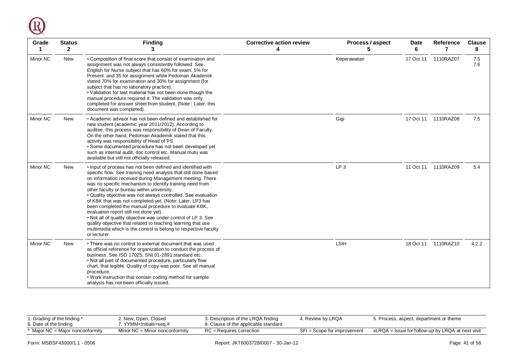

| Grade    | <b>Status</b><br>$\mathbf{2}$ | <b>Finding</b><br>3                                                                                                                                                                                                                                                                                                                                                                                                                                                                                                                                                                                                                                                                                                                                     | <b>Corrective action review</b><br>4 | Process / aspect<br>5 | Date<br>6 | <b>Reference</b><br>7 | <b>Clause</b><br>8 |
|----------|-------------------------------|---------------------------------------------------------------------------------------------------------------------------------------------------------------------------------------------------------------------------------------------------------------------------------------------------------------------------------------------------------------------------------------------------------------------------------------------------------------------------------------------------------------------------------------------------------------------------------------------------------------------------------------------------------------------------------------------------------------------------------------------------------|--------------------------------------|-----------------------|-----------|-----------------------|--------------------|
| Minor NC | <b>New</b>                    | • Composition of final score that consist of examination and<br>assignment was not always consistently followed. See<br>English for Nurse subject that has 60% for exam, 5% for<br>Present and 35 for assignment while Pedoman Akademik<br>stated 70% for examination and 30% for assignment (for<br>subject that has no laboratory practice).<br>. Validation for test material has not been done though the<br>manual procedure required it. The validation was only<br>completed for answer sheet from student. (Note: Later, this<br>document was completed).                                                                                                                                                                                       |                                      | Keperawatan           | 17 Oct 11 | 1110RAZ07             | 7.5<br>7.6         |
| Minor NC | <b>New</b>                    | • Academic advisor has not been defined and established for<br>new student (academic year 2011/2012). According to<br>auditee, this process was responsibility of Dean of Faculty.<br>On the other hand, Pedoman Akademik stated that this<br>activity was responsibility of Head of PS.<br>· Some documented procedure has not been developed yet<br>such as internal audit, doc control etc. Manual mutu was<br>available but still not officially released.                                                                                                                                                                                                                                                                                          |                                      | Gigi                  |           | 17 Oct 11  1110RAZ08  | 7.5                |
| Minor NC | <b>New</b>                    | . Input of process has not been defined and identified with<br>specific flow. See training need analysis that still done based<br>on information received during Management meeting. There<br>was no specific mechanism to identify training need from<br>other faculty or bureau within university.<br>· Quality objective was not always controlled. See evaluation<br>of KBK that was not completed yet. (Note: Later, LP3 has<br>been completed the manual procedure to evaluate KBK,<br>evaluation report still not done yet).<br>. Not all of quality objective was under control of LP 3. See<br>quality objective that related to teaching learning that use<br>multimedia which is the control is belong to respective faculty<br>or lecturer. |                                      | LP <sub>3</sub>       |           | 11 Oct 11  1110RAZ09  | 5.4                |
| Minor NC | <b>New</b>                    | • There was no control to external document that was used<br>as official reference for organization to conduct the process of<br>business. See ISO 17025, SNI 01-2891 standard etc.<br>. Not all part of documented procedure, particularly flow<br>chart, that legible. Quality of copy was poor. See all manual<br>procedure.<br>. Work instruction that contain coding method for sample<br>analysis has not been officially issued.                                                                                                                                                                                                                                                                                                                 |                                      | <b>LSIH</b>           |           | 18 Oct 11  1110RAZ10  | 4.2.2              |

| i. Grading of the finding *<br>6. Date of the finding | 2. New, Open, Closed<br>. YYMM <lnitials>seq.#</lnitials> | 3. Description of the LRQA finding<br>8. Clause of the applicable standard | 4. Review by LRQA             | 5. Process, aspect, department or theme           |
|-------------------------------------------------------|-----------------------------------------------------------|----------------------------------------------------------------------------|-------------------------------|---------------------------------------------------|
| Maior NC = Maior nonconformity                        | Minor $NC =$ Minor nonconformity                          | $RC = Requires correction$                                                 | $SFI = Score for improvement$ | xLRQA = Issue for follow-up by LRQA at next visit |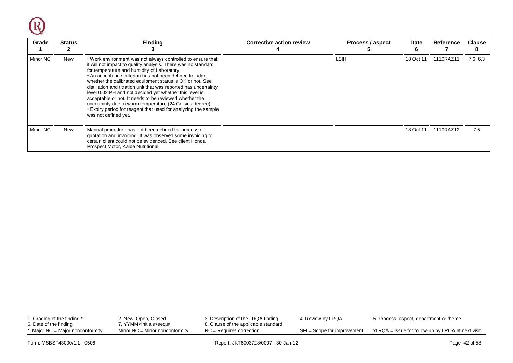

| Grade    | <b>Status</b> | <b>Finding</b>                                                                                                                                                                                                                                                                                                                                                                                                                                                                                                                                                                                                                                      | <b>Corrective action review</b> | Process / aspect | Date      | Reference | <b>Clause</b><br>8 |
|----------|---------------|-----------------------------------------------------------------------------------------------------------------------------------------------------------------------------------------------------------------------------------------------------------------------------------------------------------------------------------------------------------------------------------------------------------------------------------------------------------------------------------------------------------------------------------------------------------------------------------------------------------------------------------------------------|---------------------------------|------------------|-----------|-----------|--------------------|
| Minor NC | New           | . Work environment was not always controlled to ensure that<br>it will not impact to quality analysis. There was no standard<br>for temperature and humidity of Laboratory.<br>• An acceptance criterion has not been defined to judge<br>whether the calibrated equipment status is OK or not. See<br>distillation and titration unit that was reported has uncertainty<br>level 0.02 PH and not decided yet whether this level is<br>acceptable or not. It needs to be reviewed whether the<br>uncertainty due to warm temperature (24 Celsius degree).<br>• Expiry period for reagent that used for analyzing the sample<br>was not defined yet. |                                 | LSIH             | 18 Oct 11 | 1110RAZ11 | 7.6, 6.3           |
| Minor NC | New           | Manual procedure has not been defined for process of<br>quotation and invoicing. It was observed some invoicing to<br>certain client could not be evidenced. See client Honda<br>Prospect Motor, Kalbe Nutritional.                                                                                                                                                                                                                                                                                                                                                                                                                                 |                                 |                  | 18 Oct 11 | 1110RAZ12 | 7.5                |

| . Grading of the finding *<br>். Date of the finding | 2. New, Open, Closed<br>'. YYMM <initials>seq.#</initials> | 3. Description of the LRQA finding<br>8. Clause of the applicable standard | 4. Review by LRQA             | 5. Process, aspect, department or theme           |
|------------------------------------------------------|------------------------------------------------------------|----------------------------------------------------------------------------|-------------------------------|---------------------------------------------------|
| * Maior NC = Maior nonconformity                     | Minor $NC =$ Minor nonconformity                           | $RC = Reauries correction$                                                 | $SFI = Score for improvement$ | xLRQA = Issue for follow-up by LRQA at next visit |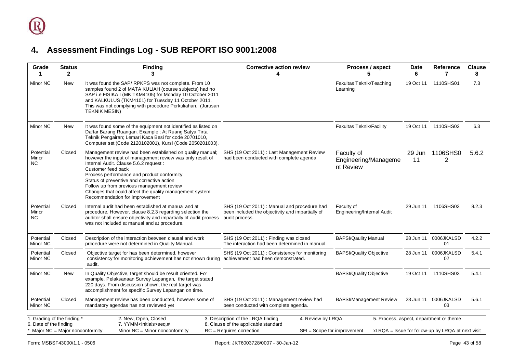<span id="page-42-0"></span>

| Grade<br>1                                                                                | <b>Status</b><br>$\overline{2}$ | <b>Finding</b><br>3                                                                                                                                                                                                                                                                                                                                                                                                          | <b>Corrective action review</b><br>4                                                                                        | Process / aspect<br>5                           | Date<br>6    | <b>Reference</b><br>7                                                                        | <b>Clause</b><br>8 |
|-------------------------------------------------------------------------------------------|---------------------------------|------------------------------------------------------------------------------------------------------------------------------------------------------------------------------------------------------------------------------------------------------------------------------------------------------------------------------------------------------------------------------------------------------------------------------|-----------------------------------------------------------------------------------------------------------------------------|-------------------------------------------------|--------------|----------------------------------------------------------------------------------------------|--------------------|
| Minor NC                                                                                  | New                             | It was found the SAP/RPKPS was not complete. From 10<br>samples found 2 of MATA KULIAH (course subjects) had no<br>SAP i.e FISIKA I (MK TKM4105) for Monday 10 October 2011<br>and KALKULUS (TKM4101) for Tuesday 11 October 2011.<br>This was not complying with procedure Perkuliahan. (Jurusan<br><b>TEKNIK MESIN)</b>                                                                                                    |                                                                                                                             | Fakultas Teknik/Teaching<br>Learning            | 19 Oct 11    | 1110SHS01                                                                                    | 7.3                |
| Minor NC                                                                                  | New                             | It was found some of the equipment not identified as listed on<br>Daftar Barang Ruangan. Example: At Ruang Satya Tirta<br>Teknik Pengairan; Lemari Kaca Besi for code 20701010,<br>Computer set (Code 2120102001), Kursi (Code 2050201003).                                                                                                                                                                                  |                                                                                                                             | Fakultas Teknik/Facility                        |              | 19 Oct 11 1110SHS02                                                                          | 6.3                |
| Potential<br>Minor<br>NC.                                                                 | Closed                          | Management review had been established on quality manual;<br>however the input of management review was only result of<br>Internal Audit. Clause 5.6.2 request :<br>Customer feed back<br>Process performance and product conformity<br>Status of preventive and corrective action<br>Follow up from previous management review<br>Changes that could affect the quality management system<br>Recommendation for improvement | SHS (19 Oct 2011): Last Management Review<br>had been conducted with complete agenda                                        | Faculty of<br>Engineering/Manageme<br>nt Review | 29 Jun<br>11 | 1106SHS0<br>2                                                                                | 5.6.2              |
| Potential<br>Minor<br>NC.                                                                 | Closed                          | Internal audit had been established at manual and at<br>procedure. However, clause 8.2.3 regarding selection the<br>auditor shall ensure objectivity and impartially of audit process<br>was not included at manual and at procedure.                                                                                                                                                                                        | SHS (19 Oct 2011) : Manual and procedure had<br>been included the objectivity and impartially of<br>audit process.          | Faculty of<br>Engineering/Internal Audit        |              | 29 Jun 11 1106SHS03                                                                          | 8.2.3              |
| Potential<br>Minor NC                                                                     | Closed                          | Description of the interaction between clausal and work<br>procedure were not determined in Quality Manual.                                                                                                                                                                                                                                                                                                                  | SHS (19 Oct 2011): Finding was closed<br>The interaction had been determined in manual.                                     | <b>BAPSI/Qaulity Manual</b>                     | 28 Jun 11    | 0006JKALSD<br>01                                                                             | 4.2.2              |
| Potential<br>Minor NC                                                                     | Closed                          | Objective target for has been determined, however<br>consistency for monitoring achievement has not shown during achievement had been demonstrated.<br>audit.                                                                                                                                                                                                                                                                | SHS (19 Oct 2011): Consistency for monitoring                                                                               | <b>BAPSI/Quality Objective</b>                  | 28 Jun 11    | 0006JKALSD<br>02                                                                             | 5.4.1              |
| Minor NC                                                                                  | <b>New</b>                      | In Quality Objective, target should be result oriented. For<br>example, Pelaksanaan Survey Lapangan, the target stated<br>220 days. From discussion shown, the real target was<br>accomplishment for specific Survey Lapangan on time.                                                                                                                                                                                       |                                                                                                                             | <b>BAPSI/Quality Objective</b>                  |              | 19 Oct 11 110SHS03                                                                           | 5.4.1              |
| Potential<br>Minor NC                                                                     | Closed                          | Management review has been conducted, however some of<br>mandatory agendas has not reviewed yet                                                                                                                                                                                                                                                                                                                              | SHS (19 Oct 2011) : Management review had<br>been conducted with complete agenda.                                           | <b>BAPSI/Management Review</b>                  |              | 28 Jun 11 0006JKALSD<br>03                                                                   | 5.6.1              |
| 1. Grading of the finding *<br>6. Date of the finding<br>* Major NC = Major nonconformity |                                 | 2. New, Open, Closed<br>7. YYMM <lnitials>seq.#<br/>Minor <math>NC =</math> Minor nonconformity</lnitials>                                                                                                                                                                                                                                                                                                                   | 3. Description of the LRQA finding<br>4. Review by LRQA<br>8. Clause of the applicable standard<br>RC = Requires correction | SFI = Scope for improvement                     |              | 5. Process, aspect, department or theme<br>xLRQA = Issue for follow-up by LRQA at next visit |                    |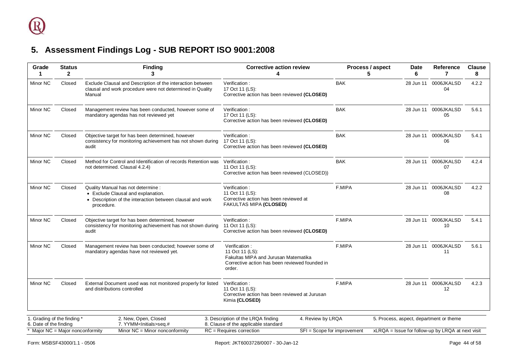<span id="page-43-0"></span>

| Grade<br>1                                            | <b>Status</b><br>$\mathbf{2}$ | <b>Finding</b><br>3                                                                                                                                 | <b>Corrective action review</b>                                                                                                      | Process / aspect<br>5       | <b>Date</b><br>6 | Reference<br>7                                    | <b>Clause</b><br>8 |
|-------------------------------------------------------|-------------------------------|-----------------------------------------------------------------------------------------------------------------------------------------------------|--------------------------------------------------------------------------------------------------------------------------------------|-----------------------------|------------------|---------------------------------------------------|--------------------|
| Minor NC                                              | Closed                        | Exclude Clausal and Description of the interaction between<br>clausal and work procedure were not determined in Quality<br>Manual                   | Verification:<br>17 Oct 11 (LS):<br>Corrective action has been reviewed (CLOSED)                                                     | <b>BAK</b>                  | 28 Jun 11        | 0006JKALSD<br>04                                  | 4.2.2              |
| Minor NC                                              | Closed                        | Management review has been conducted, however some of<br>mandatory agendas has not reviewed yet                                                     | Verification:<br>17 Oct 11 (LS):<br>Corrective action has been reviewed (CLOSED)                                                     | <b>BAK</b>                  |                  | 28 Jun 11 0006JKALSD<br>05                        | 5.6.1              |
| Minor NC                                              | Closed                        | Objective target for has been determined, however<br>consistency for monitoring achievement has not shown during<br>audit                           | Verification:<br>17 Oct 11 (LS):<br>Corrective action has been reviewed (CLOSED)                                                     | <b>BAK</b>                  |                  | 28 Jun 11 0006JKALSD<br>06                        | 5.4.1              |
| Minor NC                                              | Closed                        | Method for Control and Identification of records Retention was<br>not determined. Clausal 4.2.4)                                                    | Verification:<br>11 Oct 11 (LS):<br>Corrective action has been reviewed (CLOSED))                                                    | <b>BAK</b>                  |                  | 28 Jun 11 0006JKALSD<br>07                        | 4.2.4              |
| Minor NC                                              | Closed                        | Quality Manual has not determine :<br>• Exclude Clausal and explanation.<br>• Description of the interaction between clausal and work<br>procedure. | Verification:<br>11 Oct 11 (LS):<br>Corrective action has been reviewed at<br>FAKULTAS MIPA (CLOSED)                                 | F.MIPA                      |                  | 28 Jun 11 0006JKALSD<br>08                        | 4.2.2              |
| Minor NC                                              | Closed                        | Objective target for has been determined, however<br>consistency for monitoring achievement has not shown during<br>audit                           | Verification:<br>11 Oct 11 (LS):<br>Corrective action has been reviewed (CLOSED)                                                     | F.MIPA                      |                  | 28 Jun 11 0006JKALSD<br>10 <sup>1</sup>           | 5.4.1              |
| Minor NC                                              | Closed                        | Management review has been conducted; however some of<br>mandatory agendas have not reviewed yet.                                                   | Verification:<br>11 Oct 11 (LS):<br>Fakultas MIPA and Jurusan Matematika<br>Corrective action has been reviewed founded in<br>order. | F.MIPA                      |                  | 28 Jun 11 0006JKALSD<br>11                        | 5.6.1              |
| Minor NC                                              | Closed                        | External Document used was not monitored properly for listed<br>and distributions controlled                                                        | Verification:<br>11 Oct 11 (LS):<br>Corrective action has been reviewed at Jurusan<br>Kimia (CLOSED)                                 | F.MIPA                      |                  | 28 Jun 11 0006JKALSD<br>12                        | 4.2.3              |
| 1. Grading of the finding *<br>6. Date of the finding |                               | 2. New, Open, Closed<br>7. YYMM <lnitials>seq.#</lnitials>                                                                                          | 3. Description of the LRQA finding<br>4. Review by LRQA<br>8. Clause of the applicable standard                                      |                             |                  | 5. Process, aspect, department or theme           |                    |
| * Major NC = Major nonconformity                      |                               | Minor $NC =$ Minor nonconformity                                                                                                                    | $RC = Requirements correction$                                                                                                       | SFI = Scope for improvement |                  | xLRQA = Issue for follow-up by LRQA at next visit |                    |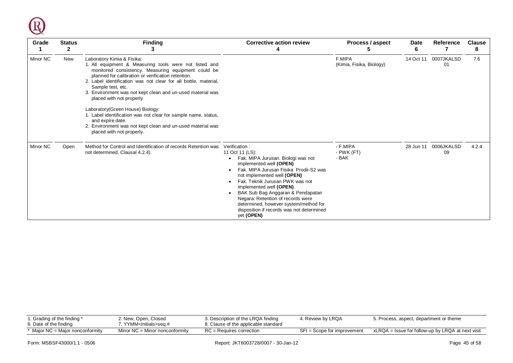

| Grade    | <b>Status</b><br>$\mathbf{2}$ | <b>Finding</b><br>3                                                                                                                                                                                                                                                                                                                                                                 | <b>Corrective action review</b>                                                                                                                                                                                                                                                                                                                                                                                         | Process / aspect<br>C              | <b>Date</b><br>6 | <b>Reference</b>           | <b>Clause</b><br>8 |
|----------|-------------------------------|-------------------------------------------------------------------------------------------------------------------------------------------------------------------------------------------------------------------------------------------------------------------------------------------------------------------------------------------------------------------------------------|-------------------------------------------------------------------------------------------------------------------------------------------------------------------------------------------------------------------------------------------------------------------------------------------------------------------------------------------------------------------------------------------------------------------------|------------------------------------|------------------|----------------------------|--------------------|
| Minor NC | New                           | Laboratory Kimia & Fisika:<br>1. All equipment & Measuring tools were not listed and<br>monitored consistency. Measuring equipment could be<br>planned for calibration or verification retention.<br>2. Label identification was not clear for all bottle, material,<br>Sample test, etc.<br>3. Environment was not kept clean and un-used material was<br>placed with not properly |                                                                                                                                                                                                                                                                                                                                                                                                                         | F.MIPA<br>(Kimia, Fisika, Biology) | 14 Oct 11        | 0007JKALSD<br>01           | 7.6                |
|          |                               | Laboratory(Green House) Biology:<br>1. Label identification was not clear for sample name, status,<br>and expire date.<br>2. Environment was not kept clean and un-used material was<br>placed with not properly.                                                                                                                                                                   |                                                                                                                                                                                                                                                                                                                                                                                                                         |                                    |                  |                            |                    |
| Minor NC | Open                          | Method for Control and Identification of records Retention was<br>not determined. Clausal 4.2.4).                                                                                                                                                                                                                                                                                   | Verification:<br>11 Oct 11 (LS):<br>Fak. MIPA Jurusan. Biologi was not<br>implemented well (OPEN)<br>Fak, MIPA Jurusan Fisika Prodii-S2 was<br>not implemented well (OPEN)<br>Fak, Teknik Jurusan PWK was not<br>implemented well (OPEN).<br>BAK Sub Bag Anggaran & Pendapatan<br>Negara: Retention of records were<br>determined, however system/method for<br>disposition if records was not determined<br>yet (OPEN) | - F.MIPA<br>- PWK (FT)<br>- BAK    |                  | 28 Jun 11 0006JKALSD<br>09 | 4.2.4              |

| i. Grading of the finding *<br>6. Date of the finding | 2. New, Open, Closed<br>. YYMM <lnitials>seɑ.#_</lnitials> | 3. Description of the LRQA finding<br>8. Clause of the applicable standard | 4. Review by LRQA           | 5. Process, aspect, department or theme           |
|-------------------------------------------------------|------------------------------------------------------------|----------------------------------------------------------------------------|-----------------------------|---------------------------------------------------|
| $*$ Major NC = Major nonconformity                    | Minor $NC =$ Minor nonconformity                           | $RC = Reauires correction$                                                 | SFI = Scope for improvement | xLRQA = Issue for follow-up by LRQA at next visit |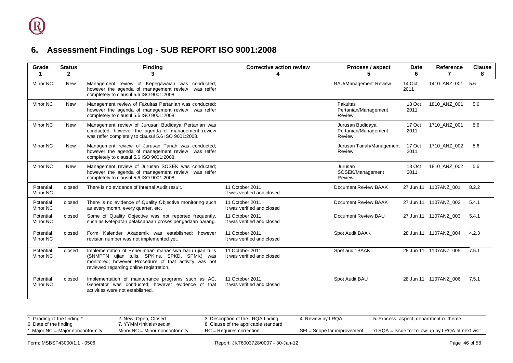<span id="page-45-0"></span>

| Grade                 | <b>Status</b><br>$\mathbf{2}$ | <b>Finding</b><br>3                                                                                                                                                                                         | <b>Corrective action review</b><br>4          | Process / aspect                                   | <b>Date</b><br>6 | <b>Reference</b><br>7 | <b>Clause</b><br>8 |
|-----------------------|-------------------------------|-------------------------------------------------------------------------------------------------------------------------------------------------------------------------------------------------------------|-----------------------------------------------|----------------------------------------------------|------------------|-----------------------|--------------------|
| Minor NC              | <b>New</b>                    | Management review of Kepegawaian was conducted;<br>however the agenda of management review was reffer<br>completely to clausul 5.6 ISO 9001:2008.                                                           |                                               | <b>BAU/Management Review</b>                       | 14 Oct<br>2011   | 1410 ANZ 001          | 5.6                |
| Minor NC              | <b>New</b>                    | Management review of Fakultas Pertanian was conducted;<br>however the agenda of management review was reffer<br>completely to clausul 5.6 ISO 9001:2008.                                                    |                                               | Fakultas<br>Pertanian/Management<br>Review         | 18 Oct<br>2011   | 1810 ANZ 001          | 5.6                |
| Minor NC              | <b>New</b>                    | Management review of Jurusan Budidaya Pertanian was<br>conducted; however the agenda of management review<br>was reffer completely to clausul 5.6 ISO 9001:2008.                                            |                                               | Jurusan Budidaya<br>Pertanian/Management<br>Review | 17 Oct<br>2011   | 1710 ANZ 001          | 5.6                |
| Minor NC              | New                           | Management review of Jurusan Tanah was conducted;<br>however the agenda of management review was reffer<br>completely to clausul 5.6 ISO 9001:2008.                                                         |                                               | Jurusan Tanah/Management<br>Review                 | 17 Oct<br>2011   | 1710 ANZ 002          | 5.6                |
| Minor NC              | <b>New</b>                    | Management review of Jurusan SOSEK was conducted;<br>however the agenda of management review was reffer<br>completely to clausul 5.6 ISO 9001:2008.                                                         |                                               | Jurusan<br>SOSEK/Management<br>Review              | 18 Oct<br>2011   | 1810 ANZ 002          | 5.6                |
| Potential<br>Minor NC | closed                        | There is no evidence of Internal Audit result.                                                                                                                                                              | 11 October 2011<br>It was verified and closed | Document Review BAAK                               |                  | 27 Jun 11 1107ANZ 001 | 8.2.2              |
| Potential<br>Minor NC | closed                        | There is no evidence of Quality Objective monitoring such<br>as every month, every quarter, etc.                                                                                                            | 11 October 2011<br>It was verified and closed | Document Review BAAK                               |                  | 27 Jun 11 1107ANZ 002 | 5.4.1              |
| Potential<br>Minor NC | closed                        | Some of Quality Objective was not reported frequently,<br>such as Ketepatan pelaksanaan proses pengadaan barang.                                                                                            | 11 October 2011<br>It was verified and closed | Document Review BAU                                |                  | 27 Jun 11 1107ANZ 003 | 5.4.1              |
| Potential<br>Minor NC | closed                        | Form Kalender Akademik was established; however<br>revision number was not implemented yet.                                                                                                                 | 11 October 2011<br>It was verified and closed | Spot Audit BAAK                                    |                  | 28 Jun 11 1107ANZ 004 | 4.2.3              |
| Potential<br>Minor NC | closed                        | Implementation of Penerimaan mahasiswa baru ujian tulis<br>(SNMPTN ujian tulis, SPKIns, SPKD, SPMK) was<br>monitored; however Procedure of that activity was not<br>reviewed regarding online registration. | 11 October 2011<br>It was verified and closed | Spot audit BAAK                                    |                  | 28 Jun 11 1107ANZ 005 | 7.5.1              |
| Potential<br>Minor NC | closed                        | Implementation of maintenance programs such as AC,<br>Generator was conducted; however evidence of that<br>activities were not established.                                                                 | 11 October 2011<br>It was verified and closed | Spot Audit BAU                                     |                  | 28 Jun 11 1107ANZ_006 | 7.5.1              |

| 1. Grading of the finding *<br>6. Date of the finding | 2. New, Open, Closed<br>YYMM <lnitials>seq.#</lnitials> | 3. Description of the LRQA finding<br>8. Clause of the applicable standard | . Review by LRQA            | 5. Process, aspect, department or theme           |
|-------------------------------------------------------|---------------------------------------------------------|----------------------------------------------------------------------------|-----------------------------|---------------------------------------------------|
| * Maior NC = Maior nonconformity                      | Minor $NC =$ Minor nonconformity                        | $RC = Requires correction$                                                 | SFI = Scope for improvement | xLRQA = Issue for follow-up by LRQA at next visit |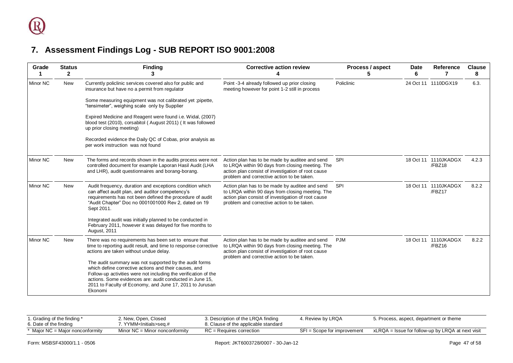<span id="page-46-0"></span>

| Grade           | <b>Status</b><br>$\mathbf{2}$ | <b>Finding</b><br>з                                                                                                                                                                                                                                                                                                                                                                                                                               | <b>Corrective action review</b>                                                                                                                                                                        | Process / aspect<br>5 | <b>Date</b><br>6 | Reference                      | <b>Clause</b><br>8 |
|-----------------|-------------------------------|---------------------------------------------------------------------------------------------------------------------------------------------------------------------------------------------------------------------------------------------------------------------------------------------------------------------------------------------------------------------------------------------------------------------------------------------------|--------------------------------------------------------------------------------------------------------------------------------------------------------------------------------------------------------|-----------------------|------------------|--------------------------------|--------------------|
| <b>Minor NC</b> | New                           | Currently policlinic services covered also for public and<br>insurance but have no a permit from regulator<br>Some measuring equipment was not calibrated yet ;pipette,<br>"tensimeter", weighing scale only by Supplier<br>Expired Medicine and Reagent were found i.e. Widal, (2007)<br>blood test (2010), corsabitol (August 2011) (It was followed<br>up prior closing meeting)<br>Recorded evidence the Daily QC of Cobas, prior analysis as | Point -3-4 already followed up prior closing<br>meeting however for point 1-2 still in process                                                                                                         | Policlinic            |                  | 24 Oct 11 1110DGX19            | 6.3.               |
|                 |                               | per work instruction was not found                                                                                                                                                                                                                                                                                                                                                                                                                |                                                                                                                                                                                                        |                       |                  |                                |                    |
| <b>Minor NC</b> | New                           | The forms and records shown in the audits process were not<br>controlled document for example Laporan Hasil Audit (LHA<br>and LHR), audit questionnaires and borang-borang.                                                                                                                                                                                                                                                                       | Action plan has to be made by auditee and send<br>to LRQA within 90 days from closing meeting. The<br>action plan consist of investigation of root cause<br>problem and corrective action to be taken. | <b>SPI</b>            |                  | 18 Oct 11 1110JKADGX<br>/FBZ18 | 4.2.3              |
| <b>Minor NC</b> | New                           | Audit frequency, duration and exceptions condition which<br>can affect audit plan, and auditor competency's<br>requirements has not been defined the procedure of audit<br>"Audit Chapter" Doc no 0001001000 Rev 2, dated on 19<br>Sept 2011.                                                                                                                                                                                                     | Action plan has to be made by auditee and send<br>to LRQA within 90 days from closing meeting. The<br>action plan consist of investigation of root cause<br>problem and corrective action to be taken. | SPI                   |                  | 18 Oct 11 1110JKADGX<br>/FBZ17 | 8.2.2              |
|                 |                               | Integrated audit was initially planned to be conducted in<br>February 2011, however it was delayed for five months to<br>August, 2011                                                                                                                                                                                                                                                                                                             |                                                                                                                                                                                                        |                       |                  |                                |                    |
| Minor NC        | <b>New</b>                    | There was no requirements has been set to ensure that<br>time to reporting audit result, and time to response corrective<br>actions are taken without undue delay.                                                                                                                                                                                                                                                                                | Action plan has to be made by auditee and send<br>to LRQA within 90 days from closing meeting. The<br>action plan consist of investigation of root cause                                               | <b>PJM</b>            |                  | 18 Oct 11 1110JKADGX<br>/FBZ16 | 8.2.2              |
|                 |                               | The audit summary was not supported by the audit forms<br>which define corrective actions and their causes, and<br>Follow-up activities were not including the verification of the<br>actions. Some evidences are: audit conducted in June 15,<br>2011 to Faculty of Economy, and June 17, 2011 to Jurusan<br>Ekonomi                                                                                                                             | problem and corrective action to be taken.                                                                                                                                                             |                       |                  |                                |                    |

| 1. Grading of the finding *<br>6. Date of the finding | 2. New, Open, Closed<br>. YYMM <lnitials>seq.#_</lnitials> | 3. Description of the LRQA finding<br>8. Clause of the applicable standard | 1. Review by LRQA             | 5. Process, aspect, department or theme           |
|-------------------------------------------------------|------------------------------------------------------------|----------------------------------------------------------------------------|-------------------------------|---------------------------------------------------|
| * Major NC = Major nonconformity                      | Minor $NC =$ Minor nonconformity                           | $RC =$ Requires correction                                                 | $SFI = Score for improvement$ | xLRQA = Issue for follow-up by LRQA at next visit |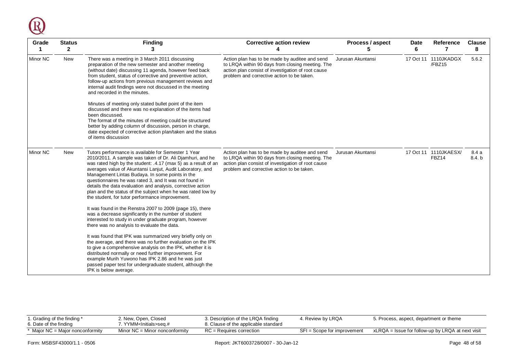

| Grade<br>1      | <b>Status</b><br>$\mathbf{2}$ | <b>Finding</b><br>3                                                                                                                                                                                                                                                                                                                                                                                                                                                                                                                           | <b>Corrective action review</b>                                                                                                                                                                        | Process / aspect<br>5 | <b>Date</b><br>6 | Reference<br>7                 | <b>Clause</b><br>8 |
|-----------------|-------------------------------|-----------------------------------------------------------------------------------------------------------------------------------------------------------------------------------------------------------------------------------------------------------------------------------------------------------------------------------------------------------------------------------------------------------------------------------------------------------------------------------------------------------------------------------------------|--------------------------------------------------------------------------------------------------------------------------------------------------------------------------------------------------------|-----------------------|------------------|--------------------------------|--------------------|
| <b>Minor NC</b> | New                           | There was a meeting in 3 March 2011 discussing<br>preparation of the new semester and another meeting<br>(without date) discussing 11 agenda, however feed back<br>from student, status of corrective and preventive action,<br>follow-up actions from previous management reviews and<br>internal audit findings were not discussed in the meeting<br>and recorded in the minutes.<br>Minutes of meeting only stated bullet point of the item<br>discussed and there was no explanation of the items had<br>been discussed.                  | Action plan has to be made by auditee and send<br>to LRQA within 90 days from closing meeting. The<br>action plan consist of investigation of root cause<br>problem and corrective action to be taken. | Jurusan Akuntansi     |                  | 17 Oct 11 1110JKADGX<br>/FBZ15 | 5.6.2              |
|                 |                               | The format of the minutes of meeting could be structured<br>better by adding column of discussion, person in charge,<br>date expected of corrective action plan/taken and the status<br>of items discussion                                                                                                                                                                                                                                                                                                                                   |                                                                                                                                                                                                        |                       |                  |                                |                    |
| <b>Minor NC</b> | <b>New</b>                    | Tutors performance is available for Semester 1 Year<br>2010/2011. A sample was taken of Dr. Ali Djamhuri, and he<br>was rated high by the student: .4.17 (max 5) as a result of an<br>averages value of Akuntansi Lanjut, Audit Laboratory, and<br>Management Lintas Budaya. In some points in the<br>questionnaires he was rated 3, and It was not found in<br>details the data evaluation and analysis, corrective action<br>plan and the status of the subject when he was rated low by<br>the student, for tutor performance improvement. | Action plan has to be made by auditee and send<br>to LRQA within 90 days from closing meeting. The<br>action plan consist of investigation of root cause<br>problem and corrective action to be taken. | Jurusan Akuntansi     |                  | 17 Oct 11 1110JKAESX/<br>FBZ14 | 8.4a<br>8.4. b     |
|                 |                               | It was found in the Renstra 2007 to 2009 (page 15), there<br>was a decrease significantly in the number of student<br>interested to study in under graduate program, however<br>there was no analysis to evaluate the data.                                                                                                                                                                                                                                                                                                                   |                                                                                                                                                                                                        |                       |                  |                                |                    |
|                 |                               | It was found that IPK was summarized very briefly only on<br>the average, and there was no further evaluation on the IPK<br>to give a comprehensive analysis on the IPK, whether it is<br>distributed normally or need further improvement. For<br>example Murih Yuwono has IPK 2.86 and he was just<br>passed paper test for undergraduate student, although the<br>IPK is below average.                                                                                                                                                    |                                                                                                                                                                                                        |                       |                  |                                |                    |

| 1. Grading of the finding *<br>6. Date of the finding | 2. New, Open, Closed<br>7. YYMM <initials>seɑ.#_</initials> | 3. Description of the LRQA finding<br>8. Clause of the applicable standard | 4. Review by LRQA           | 5. Process, aspect, department or theme           |
|-------------------------------------------------------|-------------------------------------------------------------|----------------------------------------------------------------------------|-----------------------------|---------------------------------------------------|
| Major NC = Major nonconformity                        | Minor $NC =$ Minor nonconformity                            | $RC = Reauires correction$                                                 | SFI = Scope for improvement | xLRQA = Issue for follow-up by LRQA at next visit |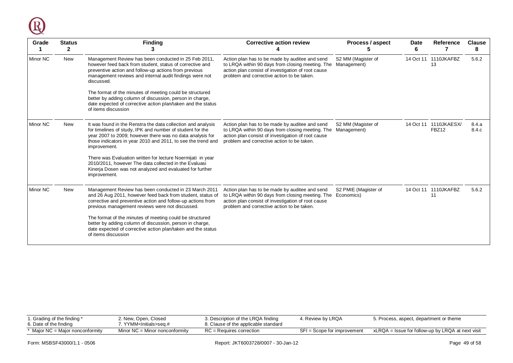

| Grade           | <b>Status</b><br>$\mathbf{2}$ | <b>Finding</b>                                                                                                                                                                                                                                                         | <b>Corrective action review</b>                                                                                                                                                                        | Process / aspect                   | Date<br>6 | Reference                      | <b>Clause</b><br>8 |
|-----------------|-------------------------------|------------------------------------------------------------------------------------------------------------------------------------------------------------------------------------------------------------------------------------------------------------------------|--------------------------------------------------------------------------------------------------------------------------------------------------------------------------------------------------------|------------------------------------|-----------|--------------------------------|--------------------|
| Minor NC        | <b>New</b>                    | Management Review has been conducted in 25 Feb 2011,<br>however feed back from student, status of corrective and<br>preventive action and follow-up actions from previous<br>management reviews and internal audit findings were not<br>discussed.                     | Action plan has to be made by auditee and send<br>to LRQA within 90 days from closing meeting. The<br>action plan consist of investigation of root cause<br>problem and corrective action to be taken. | S2 MM (Magister of<br>Management)  | 14 Oct 11 | 1110JKAFBZ<br>13               | 5.6.2              |
|                 |                               | The format of the minutes of meeting could be structured<br>better by adding column of discussion, person in charge,<br>date expected of corrective action plan/taken and the status<br>of items discussion                                                            |                                                                                                                                                                                                        |                                    |           |                                |                    |
| <b>Minor NC</b> | New                           | It was found in the Renstra the data collection and analysis<br>for timelines of study, IPK and number of student for the<br>year 2007 to 2009; however there was no data analysis for<br>those indicators in year 2010 and 2011, to see the trend and<br>improvement. | Action plan has to be made by auditee and send<br>to LRQA within 90 days from closing meeting. The<br>action plan consist of investigation of root cause<br>problem and corrective action to be taken. | S2 MM (Magister of<br>Management)  |           | 14 Oct 11 1110JKAESX/<br>FBZ12 | 8.4.a<br>8.4.c     |
|                 |                               | There was Evaluation written for lecture Noermijati in year<br>2010/2011, however The data collected in the Evaluasi<br>Kinerja Dosen was not analyzed and evaluated for further<br>improvement.                                                                       |                                                                                                                                                                                                        |                                    |           |                                |                    |
| Minor NC        | New                           | Management Review has been conducted in 23 March 2011<br>and 26 Aug 2011, however feed back from student, status of<br>corrective and preventive action and follow-up actions from<br>previous management reviews were not discussed.                                  | Action plan has to be made by auditee and send<br>to LRQA within 90 days from closing meeting. The<br>action plan consist of investigation of root cause<br>problem and corrective action to be taken. | S2 PMIE (Magister of<br>Economics) |           | 14 Oct 11 1110JKAFBZ<br>11     | 5.6.2              |
|                 |                               | The format of the minutes of meeting could be structured<br>better by adding column of discussion, person in charge,<br>date expected of corrective action plan/taken and the status<br>of items discussion                                                            |                                                                                                                                                                                                        |                                    |           |                                |                    |

| r. Grading of the finding *<br>6. Date of the finding | 2. New, Open, Closed<br>7. YYMM <initials>seq.#</initials> | 3. Description of the LRQA finding<br>8. Clause of the applicable standard | . Review by LRQA              | 5. Process, aspect, department or theme           |
|-------------------------------------------------------|------------------------------------------------------------|----------------------------------------------------------------------------|-------------------------------|---------------------------------------------------|
| * Major NC = Major nonconformity                      | Minor $NC =$ Minor nonconformity                           | $RC =$ Requires correction                                                 | $SFI = Score for improvement$ | xLRQA = Issue for follow-up by LRQA at next visit |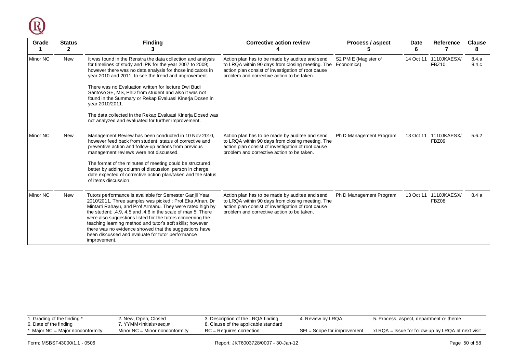

| Grade           | <b>Finding</b><br><b>Corrective action review</b><br><b>Status</b><br>$\mathbf{2}$ |                                                                                                                                                                                                                                                                                                                                                                                                                                                                                                                                                                     | Process / aspect                                                                                                                                                                                       | Date<br>6                          | Reference | <b>Clause</b><br>8             |                |
|-----------------|------------------------------------------------------------------------------------|---------------------------------------------------------------------------------------------------------------------------------------------------------------------------------------------------------------------------------------------------------------------------------------------------------------------------------------------------------------------------------------------------------------------------------------------------------------------------------------------------------------------------------------------------------------------|--------------------------------------------------------------------------------------------------------------------------------------------------------------------------------------------------------|------------------------------------|-----------|--------------------------------|----------------|
| <b>Minor NC</b> | New                                                                                | It was found in the Renstra the data collection and analysis<br>for timelines of study and IPK for the year 2007 to 2009;<br>however there was no data analysis for those indicators in<br>year 2010 and 2011, to see the trend and improvement.<br>There was no Evaluation written for lecture Dwi Budi<br>Santoso SE, MS, PhD from student and also it was not<br>found in the Summary or Rekap Evaluasi Kinerja Dosen in<br>year 2010/2011.<br>The data collected in the Rekap Evaluasi Kinerja Dosed was<br>not analyzed and evaluated for further improvement. | Action plan has to be made by auditee and send<br>to LRQA within 90 days from closing meeting. The<br>action plan consist of investigation of root cause<br>problem and corrective action to be taken. | S2 PMIE (Magister of<br>Economics) | 14 Oct 11 | 1110JKAESX/<br><b>FBZ10</b>    | 8.4.a<br>8.4.c |
| Minor NC        | New                                                                                | Management Review has been conducted in 10 Nov 2010,                                                                                                                                                                                                                                                                                                                                                                                                                                                                                                                | Action plan has to be made by auditee and send                                                                                                                                                         | Ph D Management Program            |           | 13 Oct 11 1110JKAESX/          | 5.6.2          |
|                 |                                                                                    | however feed back from student, status of corrective and<br>preventive action and follow-up actions from previous<br>management reviews were not discussed.                                                                                                                                                                                                                                                                                                                                                                                                         | to LRQA within 90 days from closing meeting. The<br>action plan consist of investigation of root cause<br>problem and corrective action to be taken.                                                   |                                    |           | FBZ09                          |                |
|                 |                                                                                    | The format of the minutes of meeting could be structured<br>better by adding column of discussion, person in charge,<br>date expected of corrective action plan/taken and the status<br>of items discussion                                                                                                                                                                                                                                                                                                                                                         |                                                                                                                                                                                                        |                                    |           |                                |                |
| <b>Minor NC</b> | New                                                                                | Tutors performance is available for Semester Ganjil Year<br>2010/2011. Three samples was picked: Prof Eka Afnan, Dr<br>Mintarti Rahayu, and Prof Armanu. They were rated high by<br>the student: .4.9, 4.5 and .4.8 in the scale of max 5. There<br>were also suggestions listed for the tutors concerning the<br>teaching learning method and tutor's soft skills; however<br>there was no evidence showed that the suggestions have<br>been discussed and evaluate for tutor performance<br>improvement.                                                          | Action plan has to be made by auditee and send<br>to LRQA within 90 days from closing meeting. The<br>action plan consist of investigation of root cause<br>problem and corrective action to be taken. | Ph D Management Program            |           | 13 Oct 11 1110JKAESX/<br>FBZ08 | 8.4 a          |

| 1. Grading of the finding *<br>6. Date of the finding | 2. New, Open, Closed<br>7. YYMM <initials>seq.#</initials> | 3. Description of the LRQA finding<br>8. Clause of the applicable standard | . Review by LRQA              | 5. Process, aspect, department or theme           |
|-------------------------------------------------------|------------------------------------------------------------|----------------------------------------------------------------------------|-------------------------------|---------------------------------------------------|
| * Maior NC = Maior nonconformity                      | Minor $NC =$ Minor nonconformity                           | $RC =$ Requires correction                                                 | $SFI = Score for improvement$ | xLRQA = Issue for follow-up by LRQA at next visit |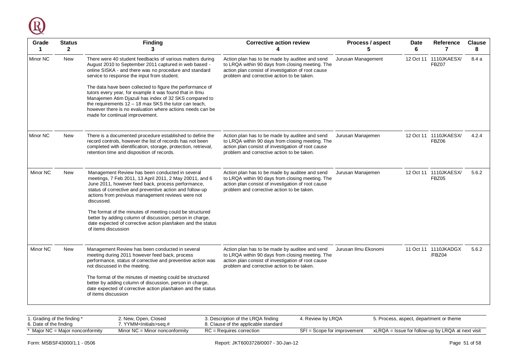

| Grade<br>1. | <b>Status</b><br>$\overline{2}$ | <b>Finding</b><br>3                                                                                                                                                                                                                                                                                                                                                                                                                                                     | <b>Corrective action review</b>                                                                                                                                                                        | Process / aspect     | <b>Date</b><br>6 | Reference<br>7                        | <b>Clause</b><br>8 |
|-------------|---------------------------------|-------------------------------------------------------------------------------------------------------------------------------------------------------------------------------------------------------------------------------------------------------------------------------------------------------------------------------------------------------------------------------------------------------------------------------------------------------------------------|--------------------------------------------------------------------------------------------------------------------------------------------------------------------------------------------------------|----------------------|------------------|---------------------------------------|--------------------|
| Minor NC    | <b>New</b>                      | There were 40 student feedbacks of various matters during<br>August 2010 to September 2011 captured in web based -<br>online SISKA - and there was no procedure and standard<br>service to response the input from student.<br>The data have been collected to figure the performance of<br>tutors every year, for example it was found that in Ilmu<br>Manajemen Atim Djazuli has index of 32 SKS compared to<br>the requirements 12 - 18 max SKS the tutor can teach, | Action plan has to be made by auditee and send<br>to LRQA within 90 days from closing meeting. The<br>action plan consist of investigation of root cause<br>problem and corrective action to be taken. | Jurusan Management   |                  | 12 Oct 11 1110JKAESX/<br><b>FBZ07</b> | 8.4a               |
|             |                                 | however there is no evaluation where actions needs can be<br>made for continual improvement.                                                                                                                                                                                                                                                                                                                                                                            |                                                                                                                                                                                                        |                      |                  |                                       |                    |
| Minor NC    | <b>New</b>                      | There is a documented procedure established to define the<br>record controls, however the list of records has not been<br>completed with identification, storage, protection, retrieval,<br>retention time and disposition of records.                                                                                                                                                                                                                                  | Action plan has to be made by auditee and send<br>to LRQA within 90 days from closing meeting. The<br>action plan consist of investigation of root cause<br>problem and corrective action to be taken. | Jurusan Manajemen    |                  | 12 Oct 11 1110JKAESX/<br>FBZ06        | 4.2.4              |
| Minor NC    | <b>New</b>                      | Management Review has been conducted in several<br>meetings, 7 Feb 2011, 13 April 2011, 2 May 20011, and 6<br>June 2011, however feed back, process performance,<br>status of corrective and preventive action and follow-up<br>actions from previous management reviews were not<br>discussed.                                                                                                                                                                         | Action plan has to be made by auditee and send<br>to LRQA within 90 days from closing meeting. The<br>action plan consist of investigation of root cause<br>problem and corrective action to be taken. | Jurusan Manajemen    |                  | 12 Oct 11 1110JKAESX/<br>FBZ05        | 5.6.2              |
|             |                                 | The format of the minutes of meeting could be structured<br>better by adding column of discussion, person in charge,<br>date expected of corrective action plan/taken and the status<br>of items discussion                                                                                                                                                                                                                                                             |                                                                                                                                                                                                        |                      |                  |                                       |                    |
| Minor NC    | New                             | Management Review has been conducted in several<br>meeting during 2011 however feed back, process<br>performance, status of corrective and preventive action was<br>not discussed in the meeting.                                                                                                                                                                                                                                                                       | Action plan has to be made by auditee and send<br>to LRQA within 90 days from closing meeting. The<br>action plan consist of investigation of root cause<br>problem and corrective action to be taken. | Jurusan Ilmu Ekonomi |                  | 11 Oct 11 1110JKADGX<br>/FBZ04        | 5.6.2              |
|             |                                 | The format of the minutes of meeting could be structured<br>better by adding column of discussion, person in charge,<br>date expected of corrective action plan/taken and the status<br>of items discussion                                                                                                                                                                                                                                                             |                                                                                                                                                                                                        |                      |                  |                                       |                    |
|             |                                 |                                                                                                                                                                                                                                                                                                                                                                                                                                                                         |                                                                                                                                                                                                        |                      |                  |                                       |                    |

| i. Grading of the finding *      | 2. New, Open, Closed             | 3. Description of the LRQA finding   | . Review by LRQA            | 5. Process, aspect, department or theme           |
|----------------------------------|----------------------------------|--------------------------------------|-----------------------------|---------------------------------------------------|
| 6. Date of the finding           | YYMM <lnitials>sea.#</lnitials>  | 8. Clause of the applicable standard |                             |                                                   |
| Major $NC =$ Major nonconformity | Minor $NC =$ Minor nonconformity | $RC =$ Requires correction           | SFI = Scope for improvement | xLRQA = Issue for follow-up by LRQA at next visit |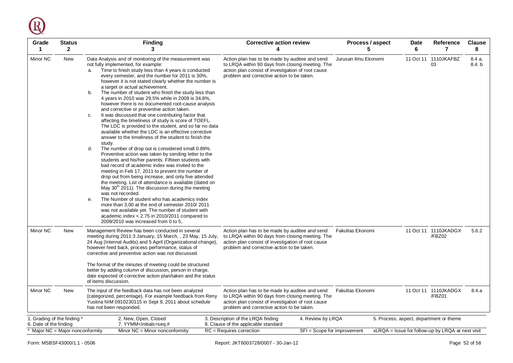Q

| Grade<br>1                                            | <b>Status</b><br>$\mathbf{2}$ | <b>Finding</b><br>3                                                                                                                                                                                                                                                                                                                                                                                                                                                                                                                                                                                                                                                                                                                                                                                                                                                                                                                                                                                                                                                                                                                                                                                                                                                                                                                                                                                                                                                                                                                                                                            | <b>Corrective action review</b><br>Δ                                                                                                                                                                   | Process / aspect<br>5 | Date<br>6 | Reference<br>7                                    | <b>Clause</b><br>8 |
|-------------------------------------------------------|-------------------------------|------------------------------------------------------------------------------------------------------------------------------------------------------------------------------------------------------------------------------------------------------------------------------------------------------------------------------------------------------------------------------------------------------------------------------------------------------------------------------------------------------------------------------------------------------------------------------------------------------------------------------------------------------------------------------------------------------------------------------------------------------------------------------------------------------------------------------------------------------------------------------------------------------------------------------------------------------------------------------------------------------------------------------------------------------------------------------------------------------------------------------------------------------------------------------------------------------------------------------------------------------------------------------------------------------------------------------------------------------------------------------------------------------------------------------------------------------------------------------------------------------------------------------------------------------------------------------------------------|--------------------------------------------------------------------------------------------------------------------------------------------------------------------------------------------------------|-----------------------|-----------|---------------------------------------------------|--------------------|
| Minor NC                                              | New                           | Data Analysis and of monitoring of the measurement was<br>not fully implemented, for example:<br>Time to finish study less than 4 years is conducted<br>a.<br>every semester, and the number for 2011 is 30%,<br>however it is not stated clearly whether the number is<br>a target or actual achievement.<br>The number of student who finish the study less than<br>b.<br>4 years in 2010 was 29,5% while in 2009 is 34,8%,<br>however there is no documented root-cause analysis<br>and corrective or preventive action taken.<br>It was discussed that one contributing factor that<br>C.<br>affecting the timeliness of study is score of TOEFL.<br>The LDC is provided to the student, and so far no data<br>available whether the LDC is an effective corrective<br>answer to the timeliness of the student to finish the<br>study.<br>The number of drop out is considered small 0.89%.<br>d.<br>Preventive action was taken by sending letter to the<br>students and his/her parents. Fifteen students with<br>bad record of academic index was invited to the<br>meeting in Feb 17, 2011 to prevent the number of<br>drop out from being increase, and only five attended<br>the meeting. List of attendance is available (dated on<br>May 30 <sup>th</sup> 2011). The discussion during the meeting<br>was not recorded.<br>The Number of student who has academics index<br>е.<br>more than 3,00 at the end of semester 2010/2011<br>was not available yet. The number of student with<br>academic index $<$ 2.75 in 2010/2011 compared to<br>2009/2010 was increased from 0 to 5, | Action plan has to be made by auditee and send<br>to LRQA within 90 days from closing meeting. The<br>action plan consist of investigation of root cause<br>problem and corrective action to be taken. | Jurusan Ilmu Ekonomi  |           | 11 Oct 11 1110 JKAFBZ<br>03                       | 8.4 a.<br>8.4. b   |
| Minor NC                                              | <b>New</b>                    | Management Review has been conducted in several<br>meeting during 2011:3 January, 15 March, , 23 May, 15 July,<br>24 Aug (Internal Audits) and 5 April (Organizational change),<br>however feed back, process performance, status of<br>corrective and preventive action was not discussed.<br>The format of the minutes of meeting could be structured<br>better by adding column of discussion, person in charge,<br>date expected of corrective action plan/taken and the status                                                                                                                                                                                                                                                                                                                                                                                                                                                                                                                                                                                                                                                                                                                                                                                                                                                                                                                                                                                                                                                                                                            | Action plan has to be made by auditee and send<br>to LRQA within 90 days from closing meeting. The<br>action plan consist of investigation of root cause<br>problem and corrective action to be taken. | Fakultas Ekonomi      |           | 11 Oct 11 1110JKADGX<br>/FBZ02                    | 5.6.2              |
| Minor NC                                              | New                           | of items discussion.<br>The input of the feedback data has not been analyzed<br>(categorized, percentage). For example feedback from Reny                                                                                                                                                                                                                                                                                                                                                                                                                                                                                                                                                                                                                                                                                                                                                                                                                                                                                                                                                                                                                                                                                                                                                                                                                                                                                                                                                                                                                                                      | Action plan has to be made by auditee and send<br>to LRQA within 90 days from closing meeting. The                                                                                                     | Fakultas Ekonomi      |           | 11 Oct 11 1110JKADGX<br>/FBZ01                    | 8.4.a              |
|                                                       |                               | Yustina NIM 0910230115 in Sept 9, 2011 about schedule<br>has not been responded.                                                                                                                                                                                                                                                                                                                                                                                                                                                                                                                                                                                                                                                                                                                                                                                                                                                                                                                                                                                                                                                                                                                                                                                                                                                                                                                                                                                                                                                                                                               | action plan consist of investigation of root cause<br>problem and corrective action to be taken.                                                                                                       |                       |           |                                                   |                    |
| 1. Grading of the finding *<br>6. Date of the finding |                               | 2. New, Open, Closed<br>7. YYMM <lnitials>seq.#</lnitials>                                                                                                                                                                                                                                                                                                                                                                                                                                                                                                                                                                                                                                                                                                                                                                                                                                                                                                                                                                                                                                                                                                                                                                                                                                                                                                                                                                                                                                                                                                                                     | 3. Description of the LRQA finding<br>4. Review by LRQA<br>8. Clause of the applicable standard                                                                                                        |                       |           | 5. Process, aspect, department or theme           |                    |
| * Major NC = Major nonconformity                      |                               | Minor $NC =$ Minor nonconformity                                                                                                                                                                                                                                                                                                                                                                                                                                                                                                                                                                                                                                                                                                                                                                                                                                                                                                                                                                                                                                                                                                                                                                                                                                                                                                                                                                                                                                                                                                                                                               | $RC = Requires correction$<br>$SFI = Score for improvement$                                                                                                                                            |                       |           | xLRQA = Issue for follow-up by LRQA at next visit |                    |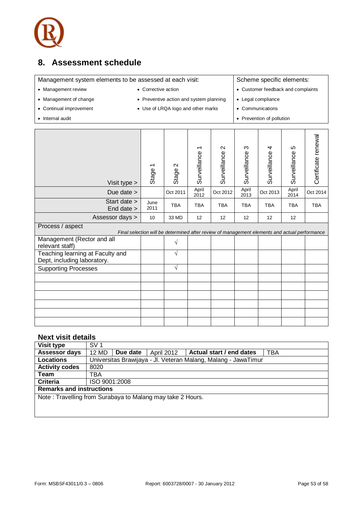

### <span id="page-52-0"></span>**8. Assessment schedule**

| Management system elements to be assessed at each visit:<br>Scheme specific elements: |                                         |                                                                                               |                   |                                   |                                    |                           |                   |                     |
|---------------------------------------------------------------------------------------|-----------------------------------------|-----------------------------------------------------------------------------------------------|-------------------|-----------------------------------|------------------------------------|---------------------------|-------------------|---------------------|
| • Management review                                                                   | • Corrective action                     |                                                                                               |                   |                                   | • Customer feedback and complaints |                           |                   |                     |
| • Management of change                                                                | • Preventive action and system planning |                                                                                               |                   |                                   |                                    | • Legal compliance        |                   |                     |
| • Continual improvement<br>• Use of LRQA logo and other marks                         |                                         |                                                                                               |                   |                                   |                                    | Communications            |                   |                     |
| • Internal audit                                                                      |                                         |                                                                                               |                   |                                   |                                    | • Prevention of pollution |                   |                     |
|                                                                                       |                                         |                                                                                               |                   |                                   |                                    |                           |                   |                     |
| Visit type >                                                                          | Stage                                   | $\sim$<br>Stage                                                                               | ᠇<br>Surveillance | $\mathbf{\Omega}$<br>Surveillance | S<br>Surveillance                  | 4<br>Surveillance         | Ю<br>Surveillance | Certificate renewal |
| Due date $>$                                                                          |                                         | Oct 2011                                                                                      | April<br>2012     | Oct 2012                          | April<br>2013                      | Oct 2013                  | April<br>2014     | Oct 2014            |
| Start date ><br>End date >                                                            | June<br>2011                            | <b>TBA</b>                                                                                    | <b>TBA</b>        | <b>TBA</b>                        | <b>TBA</b>                         | <b>TBA</b>                | <b>TBA</b>        | <b>TBA</b>          |
| Assessor days >                                                                       | 10                                      | 33 MD                                                                                         | 12                | 12                                | 12                                 | 12                        | 12                |                     |
| Process / aspect                                                                      |                                         | Final selection will be determined after review of management elements and actual performance |                   |                                   |                                    |                           |                   |                     |
| Management (Rector and all<br>relevant staff)                                         |                                         | $\sqrt{}$                                                                                     |                   |                                   |                                    |                           |                   |                     |
| Teaching learning at Faculty and<br>Dept, including laboratory.                       |                                         | $\sqrt{}$                                                                                     |                   |                                   |                                    |                           |                   |                     |
| <b>Supporting Processes</b>                                                           |                                         | $\sqrt{}$                                                                                     |                   |                                   |                                    |                           |                   |                     |
|                                                                                       |                                         |                                                                                               |                   |                                   |                                    |                           |                   |                     |
|                                                                                       |                                         |                                                                                               |                   |                                   |                                    |                           |                   |                     |
|                                                                                       |                                         |                                                                                               |                   |                                   |                                    |                           |                   |                     |
|                                                                                       |                                         |                                                                                               |                   |                                   |                                    |                           |                   |                     |
|                                                                                       |                                         |                                                                                               |                   |                                   |                                    |                           |                   |                     |
|                                                                                       |                                         |                                                                                               |                   |                                   |                                    |                           |                   |                     |

### **Next visit details**

| <b>Visit type</b>                                          | SV <sub>1</sub> |          |                   |                                                                |     |  |  |
|------------------------------------------------------------|-----------------|----------|-------------------|----------------------------------------------------------------|-----|--|--|
| <b>Assessor days</b>                                       | 12 MD           | Due date | <b>April 2012</b> | Actual start / end dates                                       | TBA |  |  |
| <b>Locations</b>                                           |                 |          |                   | Universitas Brawijaya - Jl. Veteran Malang, Malang - JawaTimur |     |  |  |
| <b>Activity codes</b>                                      | 8020            |          |                   |                                                                |     |  |  |
| Team                                                       | TBA             |          |                   |                                                                |     |  |  |
| Criteria                                                   | ISO 9001:2008   |          |                   |                                                                |     |  |  |
| <b>Remarks and instructions</b>                            |                 |          |                   |                                                                |     |  |  |
| Note: Travelling from Surabaya to Malang may take 2 Hours. |                 |          |                   |                                                                |     |  |  |
|                                                            |                 |          |                   |                                                                |     |  |  |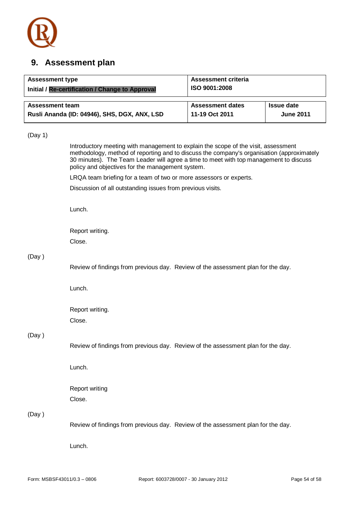

### <span id="page-53-0"></span>**9. Assessment plan**

| <b>Assessment type</b><br>Initial / Re-certification / Change to Approval | <b>Assessment criteria</b><br>ISO 9001:2008 |                   |
|---------------------------------------------------------------------------|---------------------------------------------|-------------------|
| <b>Assessment team</b>                                                    | <b>Assessment dates</b>                     | <b>Issue date</b> |
| Rusli Ananda (ID: 04946), SHS, DGX, ANX, LSD                              | 11-19 Oct 2011                              | <b>June 2011</b>  |

#### (Day 1)

Introductory meeting with management to explain the scope of the visit, assessment methodology, method of reporting and to discuss the company's organisation (approximately 30 minutes). The Team Leader will agree a time to meet with top management to discuss policy and objectives for the management system.

LRQA team briefing for a team of two or more assessors or experts.

Discussion of all outstanding issues from previous visits.

Lunch.

Report writing. Close.

#### (Day )

Review of findings from previous day. Review of the assessment plan for the day.

Lunch.

Report writing. Close.

#### (Day )

Review of findings from previous day. Review of the assessment plan for the day.

Lunch.

Report writing Close.

#### (Day )

Review of findings from previous day. Review of the assessment plan for the day.

Lunch.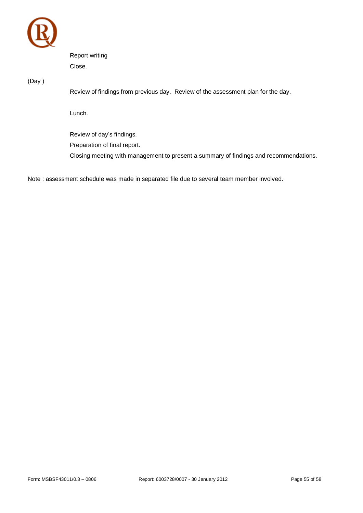

Report writing Close.

(Day )

Review of findings from previous day. Review of the assessment plan for the day.

Lunch.

Review of day's findings. Preparation of final report. Closing meeting with management to present a summary of findings and recommendations.

Note : assessment schedule was made in separated file due to several team member involved.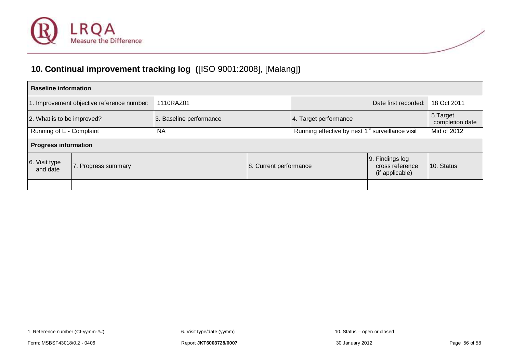

### **10. Continual improvement tracking log (**[ISO 9001:2008], [Malang]**)**

<span id="page-55-0"></span>

| <b>Baseline information</b> |                                            |                         |                        |                                                              |                                     |  |  |  |  |  |  |  |
|-----------------------------|--------------------------------------------|-------------------------|------------------------|--------------------------------------------------------------|-------------------------------------|--|--|--|--|--|--|--|
|                             | 1. Improvement objective reference number: | 1110RAZ01               |                        |                                                              | 18 Oct 2011<br>Date first recorded: |  |  |  |  |  |  |  |
| 2. What is to be improved?  |                                            | 3. Baseline performance | 4. Target performance  | 5. Target<br>completion date                                 |                                     |  |  |  |  |  |  |  |
| Running of E - Complaint    |                                            | ΝA                      |                        | Running effective by next 1 <sup>st</sup> surveillance visit | Mid of 2012                         |  |  |  |  |  |  |  |
| <b>Progress information</b> |                                            |                         |                        |                                                              |                                     |  |  |  |  |  |  |  |
| 6. Visit type<br>and date   | 7. Progress summary                        |                         | 8. Current performance | 9. Findings log<br>cross reference<br>(if applicable)        | 10. Status                          |  |  |  |  |  |  |  |
|                             |                                            |                         |                        |                                                              |                                     |  |  |  |  |  |  |  |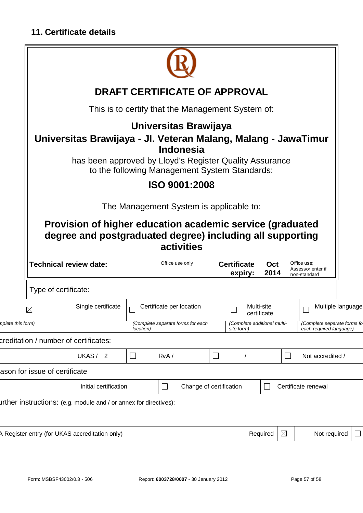

<span id="page-56-0"></span>

|                   | 11. Certificate details                                                                                                |           |                                                                   |        |                               |             |                                                                                                     |                                                  |                   |  |  |  |  |
|-------------------|------------------------------------------------------------------------------------------------------------------------|-----------|-------------------------------------------------------------------|--------|-------------------------------|-------------|-----------------------------------------------------------------------------------------------------|--------------------------------------------------|-------------------|--|--|--|--|
|                   |                                                                                                                        |           |                                                                   |        |                               |             |                                                                                                     |                                                  |                   |  |  |  |  |
|                   | <b>DRAFT CERTIFICATE OF APPROVAL</b><br>This is to certify that the Management System of:                              |           |                                                                   |        |                               |             |                                                                                                     |                                                  |                   |  |  |  |  |
|                   |                                                                                                                        |           |                                                                   |        |                               |             |                                                                                                     |                                                  |                   |  |  |  |  |
|                   | Universitas Brawijaya - Jl. Veteran Malang, Malang - JawaTimur                                                         |           | Universitas Brawijaya                                             |        |                               |             |                                                                                                     |                                                  |                   |  |  |  |  |
|                   | has been approved by Lloyd's Register Quality Assurance                                                                |           | <b>Indonesia</b><br>to the following Management System Standards: |        |                               |             |                                                                                                     |                                                  |                   |  |  |  |  |
|                   |                                                                                                                        |           | ISO 9001:2008                                                     |        |                               |             |                                                                                                     |                                                  |                   |  |  |  |  |
|                   |                                                                                                                        |           | The Management System is applicable to:                           |        |                               |             |                                                                                                     |                                                  |                   |  |  |  |  |
|                   | Provision of higher education academic service (graduated<br>degree and postgraduated degree) including all supporting |           | activities                                                        |        |                               |             |                                                                                                     |                                                  |                   |  |  |  |  |
|                   | <b>Technical review date:</b>                                                                                          |           | Office use only                                                   |        | <b>Certificate</b><br>expiry: | Oct<br>2014 |                                                                                                     | Office use;<br>Assessor enter if<br>non-standard |                   |  |  |  |  |
|                   | Type of certificate:                                                                                                   |           |                                                                   |        |                               |             |                                                                                                     |                                                  |                   |  |  |  |  |
|                   | Single certificate<br>⊠                                                                                                |           | Certificate per location                                          |        | Multi-site<br>certificate     |             |                                                                                                     |                                                  | Multiple language |  |  |  |  |
| mplete this form) |                                                                                                                        | location) | (Complete separate forms for each                                 |        |                               |             | (Complete additional multi-<br>(Complete separate forms fo<br>site form)<br>each required language) |                                                  |                   |  |  |  |  |
|                   | creditation / number of certificates:                                                                                  |           |                                                                   |        |                               |             |                                                                                                     |                                                  |                   |  |  |  |  |
|                   | UKAS/ 2                                                                                                                | $\Box$    | RvA/                                                              | $\Box$ |                               |             | $\Box$                                                                                              | Not accredited /                                 |                   |  |  |  |  |
|                   | ason for issue of certificate                                                                                          |           |                                                                   |        |                               |             |                                                                                                     |                                                  |                   |  |  |  |  |
|                   | Initial certification                                                                                                  |           | Change of certification                                           |        |                               |             |                                                                                                     | Certificate renewal                              |                   |  |  |  |  |
|                   | urther instructions: (e.g. module and / or annex for directives):                                                      |           |                                                                   |        |                               |             |                                                                                                     |                                                  |                   |  |  |  |  |
|                   |                                                                                                                        |           |                                                                   |        |                               |             |                                                                                                     |                                                  |                   |  |  |  |  |
|                   | A Register entry (for UKAS accreditation only)                                                                         |           |                                                                   |        |                               | Required    | $\boxtimes$                                                                                         | Not required                                     | $\sqcup$          |  |  |  |  |